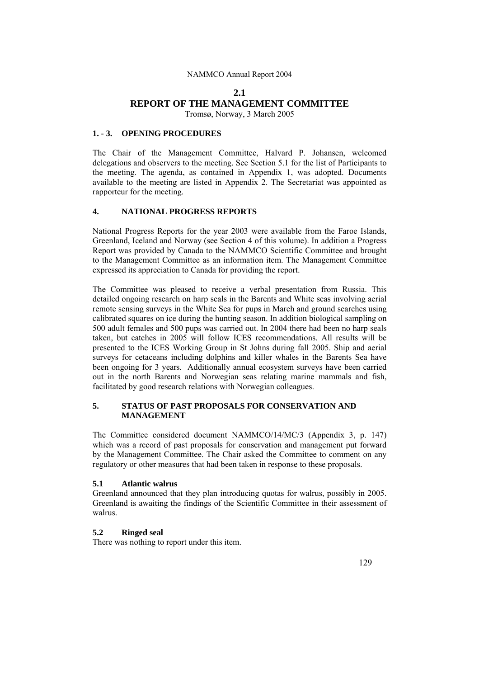# **2.1 REPORT OF THE MANAGEMENT COMMITTEE**

Tromsø, Norway, 3 March 2005

## **1. - 3. OPENING PROCEDURES**

The Chair of the Management Committee, Halvard P. Johansen, welcomed delegations and observers to the meeting. See Section 5.1 for the list of Participants to the meeting. The agenda, as contained in Appendix 1, was adopted. Documents available to the meeting are listed in Appendix 2. The Secretariat was appointed as rapporteur for the meeting.

## **4. NATIONAL PROGRESS REPORTS**

National Progress Reports for the year 2003 were available from the Faroe Islands, Greenland, Iceland and Norway (see Section 4 of this volume). In addition a Progress Report was provided by Canada to the NAMMCO Scientific Committee and brought to the Management Committee as an information item. The Management Committee expressed its appreciation to Canada for providing the report.

The Committee was pleased to receive a verbal presentation from Russia. This detailed ongoing research on harp seals in the Barents and White seas involving aerial remote sensing surveys in the White Sea for pups in March and ground searches using calibrated squares on ice during the hunting season. In addition biological sampling on 500 adult females and 500 pups was carried out. In 2004 there had been no harp seals taken, but catches in 2005 will follow ICES recommendations. All results will be presented to the ICES Working Group in St Johns during fall 2005. Ship and aerial surveys for cetaceans including dolphins and killer whales in the Barents Sea have been ongoing for 3 years. Additionally annual ecosystem surveys have been carried out in the north Barents and Norwegian seas relating marine mammals and fish, facilitated by good research relations with Norwegian colleagues.

## **5. STATUS OF PAST PROPOSALS FOR CONSERVATION AND MANAGEMENT**

The Committee considered document NAMMCO/14/MC/3 (Appendix 3, p. 147) which was a record of past proposals for conservation and management put forward by the Management Committee. The Chair asked the Committee to comment on any regulatory or other measures that had been taken in response to these proposals.

## **5.1 Atlantic walrus**

Greenland announced that they plan introducing quotas for walrus, possibly in 2005. Greenland is awaiting the findings of the Scientific Committee in their assessment of walrus.

## **5.2 Ringed seal**

There was nothing to report under this item.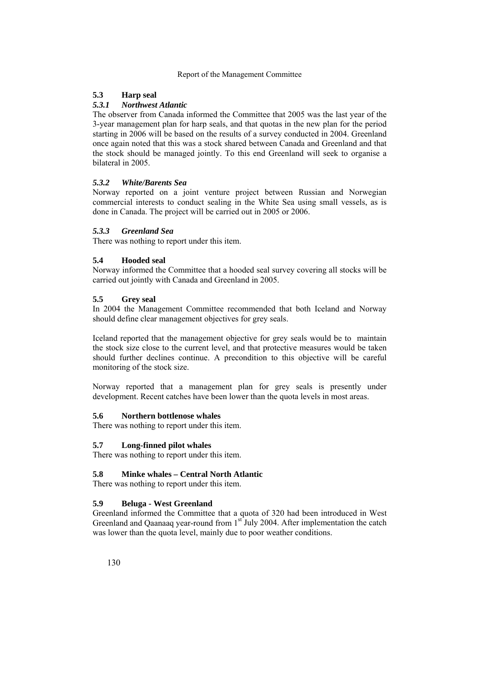## **5.3 Harp seal**

## *5.3.1 Northwest Atlantic*

The observer from Canada informed the Committee that 2005 was the last year of the 3-year management plan for harp seals, and that quotas in the new plan for the period starting in 2006 will be based on the results of a survey conducted in 2004. Greenland once again noted that this was a stock shared between Canada and Greenland and that the stock should be managed jointly. To this end Greenland will seek to organise a bilateral in 2005.

## *5.3.2 White/Barents Sea*

Norway reported on a joint venture project between Russian and Norwegian commercial interests to conduct sealing in the White Sea using small vessels, as is done in Canada. The project will be carried out in 2005 or 2006.

## *5.3.3 Greenland Sea*

There was nothing to report under this item.

## **5.4 Hooded seal**

Norway informed the Committee that a hooded seal survey covering all stocks will be carried out jointly with Canada and Greenland in 2005.

## **5.5 Grey seal**

In 2004 the Management Committee recommended that both Iceland and Norway should define clear management objectives for grey seals.

Iceland reported that the management objective for grey seals would be to maintain the stock size close to the current level, and that protective measures would be taken should further declines continue. A precondition to this objective will be careful monitoring of the stock size.

Norway reported that a management plan for grey seals is presently under development. Recent catches have been lower than the quota levels in most areas.

## **5.6 Northern bottlenose whales**

There was nothing to report under this item.

## **5.7 Long-finned pilot whales**

There was nothing to report under this item.

## **5.8 Minke whales – Central North Atlantic**

There was nothing to report under this item.

## **5.9 Beluga - West Greenland**

Greenland informed the Committee that a quota of 320 had been introduced in West Greenland and Qaanaaq year-round from  $1<sup>st</sup>$  July 2004. After implementation the catch was lower than the quota level, mainly due to poor weather conditions.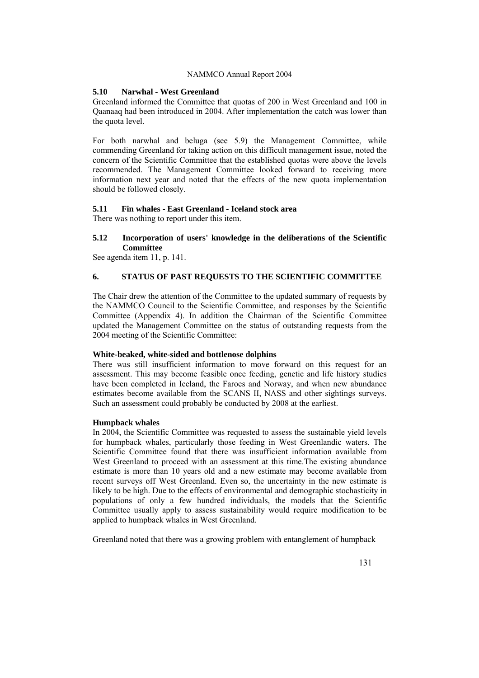## **5.10 Narwhal - West Greenland**

Greenland informed the Committee that quotas of 200 in West Greenland and 100 in Qaanaaq had been introduced in 2004. After implementation the catch was lower than the quota level.

For both narwhal and beluga (see 5.9) the Management Committee, while commending Greenland for taking action on this difficult management issue, noted the concern of the Scientific Committee that the established quotas were above the levels recommended. The Management Committee looked forward to receiving more information next year and noted that the effects of the new quota implementation should be followed closely.

## **5.11 Fin whales - East Greenland - Iceland stock area**

There was nothing to report under this item.

## **5.12 Incorporation of users' knowledge in the deliberations of the Scientific Committee**

See agenda item 11, p. 141.

## **6. STATUS OF PAST REQUESTS TO THE SCIENTIFIC COMMITTEE**

The Chair drew the attention of the Committee to the updated summary of requests by the NAMMCO Council to the Scientific Committee, and responses by the Scientific Committee (Appendix 4). In addition the Chairman of the Scientific Committee updated the Management Committee on the status of outstanding requests from the 2004 meeting of the Scientific Committee:

#### **White-beaked, white-sided and bottlenose dolphins**

There was still insufficient information to move forward on this request for an assessment. This may become feasible once feeding, genetic and life history studies have been completed in Iceland, the Faroes and Norway, and when new abundance estimates become available from the SCANS II, NASS and other sightings surveys. Such an assessment could probably be conducted by 2008 at the earliest.

#### **Humpback whales**

In 2004, the Scientific Committee was requested to assess the sustainable yield levels for humpback whales, particularly those feeding in West Greenlandic waters. The Scientific Committee found that there was insufficient information available from West Greenland to proceed with an assessment at this time. The existing abundance estimate is more than 10 years old and a new estimate may become available from recent surveys off West Greenland. Even so, the uncertainty in the new estimate is likely to be high. Due to the effects of environmental and demographic stochasticity in populations of only a few hundred individuals, the models that the Scientific Committee usually apply to assess sustainability would require modification to be applied to humpback whales in West Greenland.

Greenland noted that there was a growing problem with entanglement of humpback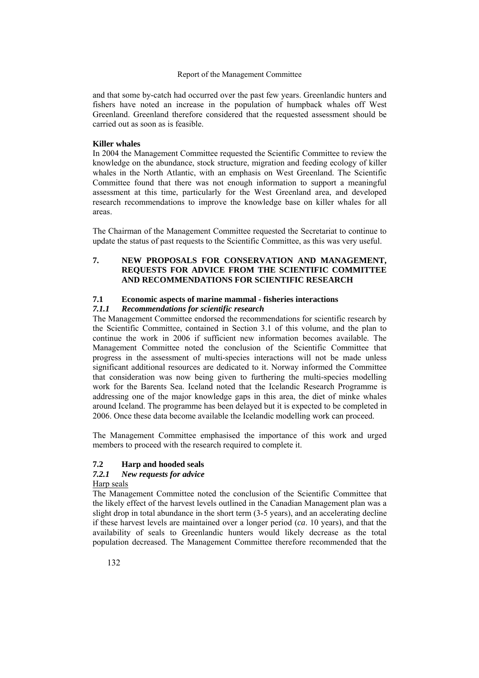and that some by-catch had occurred over the past few years. Greenlandic hunters and fishers have noted an increase in the population of humpback whales off West Greenland. Greenland therefore considered that the requested assessment should be carried out as soon as is feasible.

#### **Killer whales**

In 2004 the Management Committee requested the Scientific Committee to review the knowledge on the abundance, stock structure, migration and feeding ecology of killer whales in the North Atlantic, with an emphasis on West Greenland. The Scientific Committee found that there was not enough information to support a meaningful assessment at this time, particularly for the West Greenland area, and developed research recommendations to improve the knowledge base on killer whales for all areas.

The Chairman of the Management Committee requested the Secretariat to continue to update the status of past requests to the Scientific Committee, as this was very useful.

## **7. NEW PROPOSALS FOR CONSERVATION AND MANAGEMENT, REQUESTS FOR ADVICE FROM THE SCIENTIFIC COMMITTEE AND RECOMMENDATIONS FOR SCIENTIFIC RESEARCH**

# **7.1 Economic aspects of marine mammal - fisheries interactions**

## *7.1.1 Recommendations for scientific research*

The Management Committee endorsed the recommendations for scientific research by the Scientific Committee, contained in Section 3.1 of this volume, and the plan to continue the work in 2006 if sufficient new information becomes available. The Management Committee noted the conclusion of the Scientific Committee that progress in the assessment of multi-species interactions will not be made unless significant additional resources are dedicated to it. Norway informed the Committee that consideration was now being given to furthering the multi-species modelling work for the Barents Sea. Iceland noted that the Icelandic Research Programme is addressing one of the major knowledge gaps in this area, the diet of minke whales around Iceland. The programme has been delayed but it is expected to be completed in 2006. Once these data become available the Icelandic modelling work can proceed.

The Management Committee emphasised the importance of this work and urged members to proceed with the research required to complete it.

## **7.2 Harp and hooded seals**

#### *7.2.1 New requests for advice*

Harp seals

The Management Committee noted the conclusion of the Scientific Committee that the likely effect of the harvest levels outlined in the Canadian Management plan was a slight drop in total abundance in the short term (3-5 years), and an accelerating decline if these harvest levels are maintained over a longer period (*ca*. 10 years), and that the availability of seals to Greenlandic hunters would likely decrease as the total population decreased. The Management Committee therefore recommended that the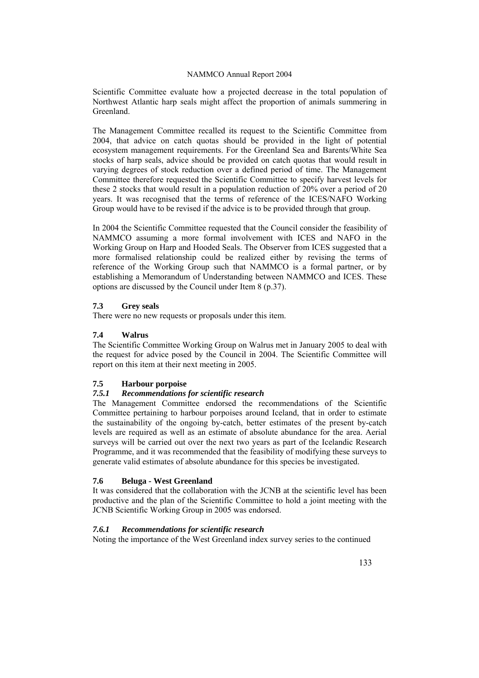Scientific Committee evaluate how a projected decrease in the total population of Northwest Atlantic harp seals might affect the proportion of animals summering in Greenland.

The Management Committee recalled its request to the Scientific Committee from 2004, that advice on catch quotas should be provided in the light of potential ecosystem management requirements. For the Greenland Sea and Barents/White Sea stocks of harp seals, advice should be provided on catch quotas that would result in varying degrees of stock reduction over a defined period of time. The Management Committee therefore requested the Scientific Committee to specify harvest levels for these 2 stocks that would result in a population reduction of 20% over a period of 20 years. It was recognised that the terms of reference of the ICES/NAFO Working Group would have to be revised if the advice is to be provided through that group.

In 2004 the Scientific Committee requested that the Council consider the feasibility of NAMMCO assuming a more formal involvement with ICES and NAFO in the Working Group on Harp and Hooded Seals. The Observer from ICES suggested that a more formalised relationship could be realized either by revising the terms of reference of the Working Group such that NAMMCO is a formal partner, or by establishing a Memorandum of Understanding between NAMMCO and ICES. These options are discussed by the Council under Item 8 (p.37).

## **7.3 Grey seals**

There were no new requests or proposals under this item.

## **7.4 Walrus**

The Scientific Committee Working Group on Walrus met in January 2005 to deal with the request for advice posed by the Council in 2004. The Scientific Committee will report on this item at their next meeting in 2005.

## **7.5 Harbour porpoise**

## *7.5.1 Recommendations for scientific research*

The Management Committee endorsed the recommendations of the Scientific Committee pertaining to harbour porpoises around Iceland, that in order to estimate the sustainability of the ongoing by-catch, better estimates of the present by-catch levels are required as well as an estimate of absolute abundance for the area. Aerial surveys will be carried out over the next two years as part of the Icelandic Research Programme, and it was recommended that the feasibility of modifying these surveys to generate valid estimates of absolute abundance for this species be investigated.

## **7.6 Beluga - West Greenland**

It was considered that the collaboration with the JCNB at the scientific level has been productive and the plan of the Scientific Committee to hold a joint meeting with the JCNB Scientific Working Group in 2005 was endorsed.

## *7.6.1 Recommendations for scientific research*

Noting the importance of the West Greenland index survey series to the continued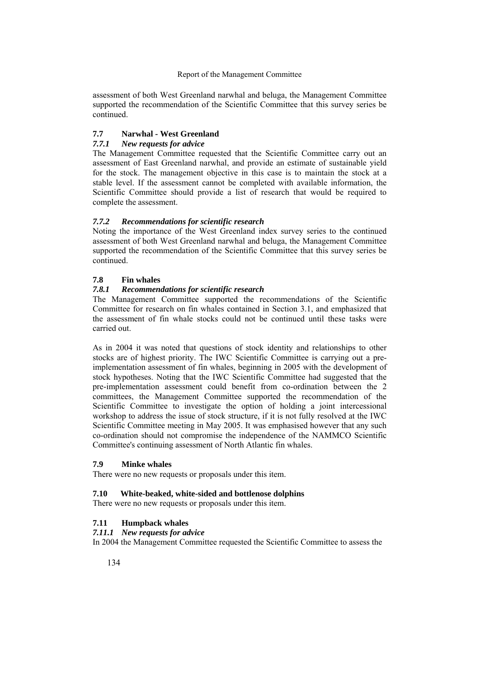assessment of both West Greenland narwhal and beluga, the Management Committee supported the recommendation of the Scientific Committee that this survey series be continued.

## **7.7 Narwhal - West Greenland**

## *7.7.1 New requests for advice*

The Management Committee requested that the Scientific Committee carry out an assessment of East Greenland narwhal, and provide an estimate of sustainable yield for the stock. The management objective in this case is to maintain the stock at a stable level. If the assessment cannot be completed with available information, the Scientific Committee should provide a list of research that would be required to complete the assessment.

## *7.7.2 Recommendations for scientific research*

Noting the importance of the West Greenland index survey series to the continued assessment of both West Greenland narwhal and beluga, the Management Committee supported the recommendation of the Scientific Committee that this survey series be continued.

## **7.8 Fin whales**

## *7.8.1 Recommendations for scientific research*

The Management Committee supported the recommendations of the Scientific Committee for research on fin whales contained in Section 3.1, and emphasized that the assessment of fin whale stocks could not be continued until these tasks were carried out.

As in 2004 it was noted that questions of stock identity and relationships to other stocks are of highest priority. The IWC Scientific Committee is carrying out a preimplementation assessment of fin whales, beginning in 2005 with the development of stock hypotheses. Noting that the IWC Scientific Committee had suggested that the pre-implementation assessment could benefit from co-ordination between the 2 committees, the Management Committee supported the recommendation of the Scientific Committee to investigate the option of holding a joint intercessional workshop to address the issue of stock structure, if it is not fully resolved at the IWC Scientific Committee meeting in May 2005. It was emphasised however that any such co-ordination should not compromise the independence of the NAMMCO Scientific Committee's continuing assessment of North Atlantic fin whales.

## **7.9 Minke whales**

There were no new requests or proposals under this item.

## **7.10 White-beaked, white-sided and bottlenose dolphins**

There were no new requests or proposals under this item.

## **7.11 Humpback whales**

## *7.11.1 New requests for advice*

In 2004 the Management Committee requested the Scientific Committee to assess the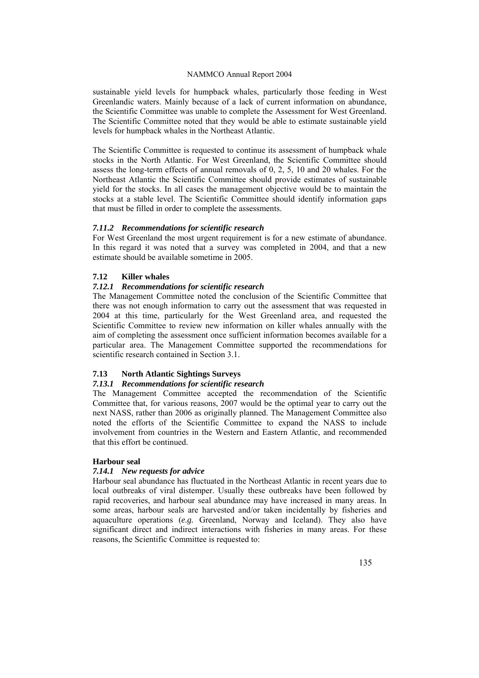sustainable yield levels for humpback whales, particularly those feeding in West Greenlandic waters. Mainly because of a lack of current information on abundance, the Scientific Committee was unable to complete the Assessment for West Greenland. The Scientific Committee noted that they would be able to estimate sustainable yield levels for humpback whales in the Northeast Atlantic.

The Scientific Committee is requested to continue its assessment of humpback whale stocks in the North Atlantic. For West Greenland, the Scientific Committee should assess the long-term effects of annual removals of 0, 2, 5, 10 and 20 whales. For the Northeast Atlantic the Scientific Committee should provide estimates of sustainable yield for the stocks. In all cases the management objective would be to maintain the stocks at a stable level. The Scientific Committee should identify information gaps that must be filled in order to complete the assessments.

## *7.11.2 Recommendations for scientific research*

For West Greenland the most urgent requirement is for a new estimate of abundance. In this regard it was noted that a survey was completed in 2004, and that a new estimate should be available sometime in 2005.

## **7.12 Killer whales**

## *7.12.1 Recommendations for scientific research*

The Management Committee noted the conclusion of the Scientific Committee that there was not enough information to carry out the assessment that was requested in 2004 at this time, particularly for the West Greenland area, and requested the Scientific Committee to review new information on killer whales annually with the aim of completing the assessment once sufficient information becomes available for a particular area. The Management Committee supported the recommendations for scientific research contained in Section 3.1.

## **7.13 North Atlantic Sightings Surveys**

## *7.13.1 Recommendations for scientific research*

The Management Committee accepted the recommendation of the Scientific Committee that, for various reasons, 2007 would be the optimal year to carry out the next NASS, rather than 2006 as originally planned. The Management Committee also noted the efforts of the Scientific Committee to expand the NASS to include involvement from countries in the Western and Eastern Atlantic, and recommended that this effort be continued.

#### **Harbour seal**

## *7.14.1 New requests for advice*

Harbour seal abundance has fluctuated in the Northeast Atlantic in recent years due to local outbreaks of viral distemper. Usually these outbreaks have been followed by rapid recoveries, and harbour seal abundance may have increased in many areas. In some areas, harbour seals are harvested and/or taken incidentally by fisheries and aquaculture operations (*e.g.* Greenland, Norway and Iceland). They also have significant direct and indirect interactions with fisheries in many areas. For these reasons, the Scientific Committee is requested to: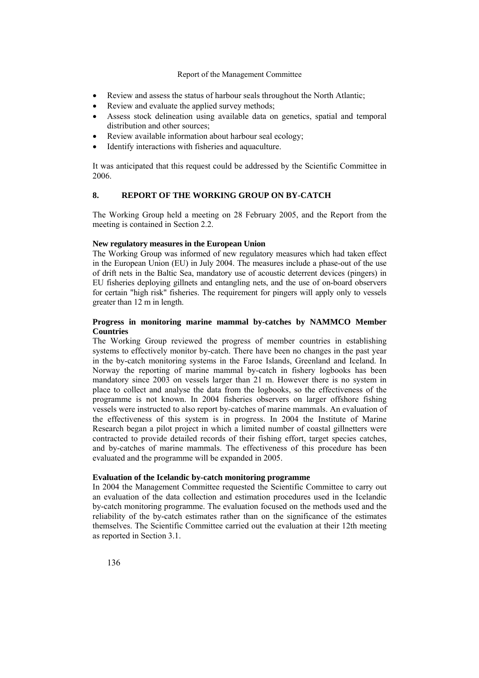- Review and assess the status of harbour seals throughout the North Atlantic;
- Review and evaluate the applied survey methods;
- Assess stock delineation using available data on genetics, spatial and temporal distribution and other sources;
- Review available information about harbour seal ecology;
- Identify interactions with fisheries and aquaculture.

It was anticipated that this request could be addressed by the Scientific Committee in 2006.

## **8. REPORT OF THE WORKING GROUP ON BY-CATCH**

The Working Group held a meeting on 28 February 2005, and the Report from the meeting is contained in Section 2.2.

## **New regulatory measures in the European Union**

The Working Group was informed of new regulatory measures which had taken effect in the European Union (EU) in July 2004. The measures include a phase-out of the use of drift nets in the Baltic Sea, mandatory use of acoustic deterrent devices (pingers) in EU fisheries deploying gillnets and entangling nets, and the use of on-board observers for certain "high risk" fisheries. The requirement for pingers will apply only to vessels greater than 12 m in length.

## **Progress in monitoring marine mammal by-catches by NAMMCO Member Countries**

The Working Group reviewed the progress of member countries in establishing systems to effectively monitor by-catch. There have been no changes in the past year in the by-catch monitoring systems in the Faroe Islands, Greenland and Iceland. In Norway the reporting of marine mammal by-catch in fishery logbooks has been mandatory since 2003 on vessels larger than 21 m. However there is no system in place to collect and analyse the data from the logbooks, so the effectiveness of the programme is not known. In 2004 fisheries observers on larger offshore fishing vessels were instructed to also report by-catches of marine mammals. An evaluation of the effectiveness of this system is in progress. In 2004 the Institute of Marine Research began a pilot project in which a limited number of coastal gillnetters were contracted to provide detailed records of their fishing effort, target species catches, and by-catches of marine mammals. The effectiveness of this procedure has been evaluated and the programme will be expanded in 2005.

## **Evaluation of the Icelandic by-catch monitoring programme**

In 2004 the Management Committee requested the Scientific Committee to carry out an evaluation of the data collection and estimation procedures used in the Icelandic by-catch monitoring programme. The evaluation focused on the methods used and the reliability of the by-catch estimates rather than on the significance of the estimates themselves. The Scientific Committee carried out the evaluation at their 12th meeting as reported in Section 3.1.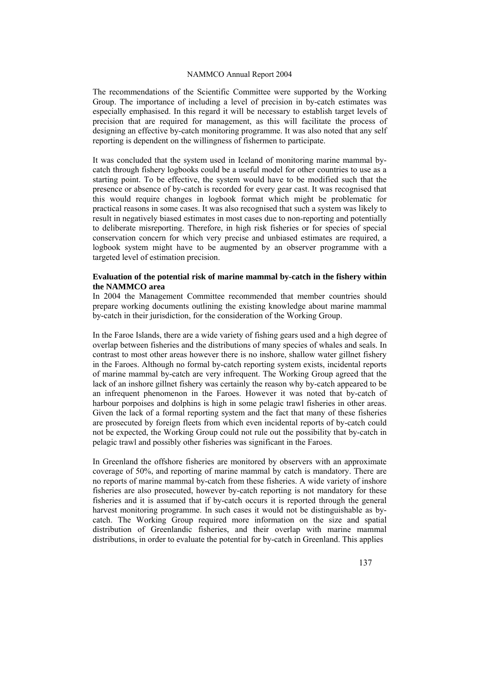The recommendations of the Scientific Committee were supported by the Working Group. The importance of including a level of precision in by-catch estimates was especially emphasised. In this regard it will be necessary to establish target levels of precision that are required for management, as this will facilitate the process of designing an effective by-catch monitoring programme. It was also noted that any self reporting is dependent on the willingness of fishermen to participate.

It was concluded that the system used in Iceland of monitoring marine mammal bycatch through fishery logbooks could be a useful model for other countries to use as a starting point. To be effective, the system would have to be modified such that the presence or absence of by-catch is recorded for every gear cast. It was recognised that this would require changes in logbook format which might be problematic for practical reasons in some cases. It was also recognised that such a system was likely to result in negatively biased estimates in most cases due to non-reporting and potentially to deliberate misreporting. Therefore, in high risk fisheries or for species of special conservation concern for which very precise and unbiased estimates are required, a logbook system might have to be augmented by an observer programme with a targeted level of estimation precision.

## **Evaluation of the potential risk of marine mammal by-catch in the fishery within the NAMMCO area**

In 2004 the Management Committee recommended that member countries should prepare working documents outlining the existing knowledge about marine mammal by-catch in their jurisdiction, for the consideration of the Working Group.

In the Faroe Islands, there are a wide variety of fishing gears used and a high degree of overlap between fisheries and the distributions of many species of whales and seals. In contrast to most other areas however there is no inshore, shallow water gillnet fishery in the Faroes. Although no formal by-catch reporting system exists, incidental reports of marine mammal by-catch are very infrequent. The Working Group agreed that the lack of an inshore gillnet fishery was certainly the reason why by-catch appeared to be an infrequent phenomenon in the Faroes. However it was noted that by-catch of harbour porpoises and dolphins is high in some pelagic trawl fisheries in other areas. Given the lack of a formal reporting system and the fact that many of these fisheries are prosecuted by foreign fleets from which even incidental reports of by-catch could not be expected, the Working Group could not rule out the possibility that by-catch in pelagic trawl and possibly other fisheries was significant in the Faroes.

In Greenland the offshore fisheries are monitored by observers with an approximate coverage of 50%, and reporting of marine mammal by catch is mandatory. There are no reports of marine mammal by-catch from these fisheries. A wide variety of inshore fisheries are also prosecuted, however by-catch reporting is not mandatory for these fisheries and it is assumed that if by-catch occurs it is reported through the general harvest monitoring programme. In such cases it would not be distinguishable as bycatch. The Working Group required more information on the size and spatial distribution of Greenlandic fisheries, and their overlap with marine mammal distributions, in order to evaluate the potential for by-catch in Greenland. This applies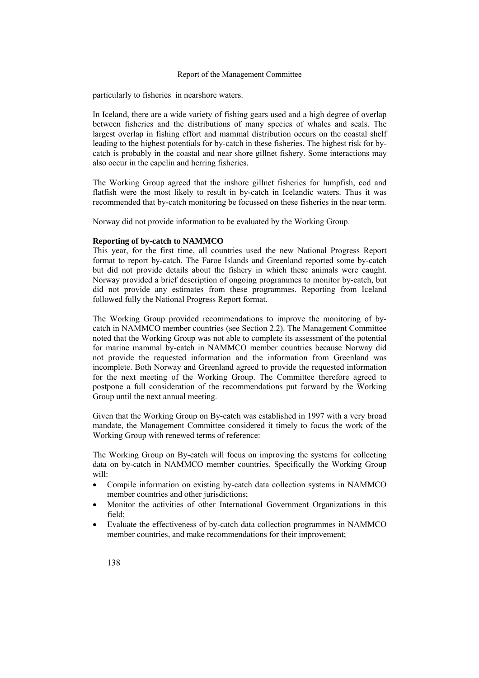particularly to fisheries in nearshore waters.

In Iceland, there are a wide variety of fishing gears used and a high degree of overlap between fisheries and the distributions of many species of whales and seals. The largest overlap in fishing effort and mammal distribution occurs on the coastal shelf leading to the highest potentials for by-catch in these fisheries. The highest risk for bycatch is probably in the coastal and near shore gillnet fishery. Some interactions may also occur in the capelin and herring fisheries.

The Working Group agreed that the inshore gillnet fisheries for lumpfish, cod and flatfish were the most likely to result in by-catch in Icelandic waters. Thus it was recommended that by-catch monitoring be focussed on these fisheries in the near term.

Norway did not provide information to be evaluated by the Working Group.

#### **Reporting of by-catch to NAMMCO**

This year, for the first time, all countries used the new National Progress Report format to report by-catch. The Faroe Islands and Greenland reported some by-catch but did not provide details about the fishery in which these animals were caught. Norway provided a brief description of ongoing programmes to monitor by-catch, but did not provide any estimates from these programmes. Reporting from Iceland followed fully the National Progress Report format.

The Working Group provided recommendations to improve the monitoring of bycatch in NAMMCO member countries (see Section 2.2). The Management Committee noted that the Working Group was not able to complete its assessment of the potential for marine mammal by-catch in NAMMCO member countries because Norway did not provide the requested information and the information from Greenland was incomplete. Both Norway and Greenland agreed to provide the requested information for the next meeting of the Working Group. The Committee therefore agreed to postpone a full consideration of the recommendations put forward by the Working Group until the next annual meeting.

Given that the Working Group on By-catch was established in 1997 with a very broad mandate, the Management Committee considered it timely to focus the work of the Working Group with renewed terms of reference:

The Working Group on By-catch will focus on improving the systems for collecting data on by-catch in NAMMCO member countries. Specifically the Working Group will:

- Compile information on existing by-catch data collection systems in NAMMCO member countries and other jurisdictions;
- Monitor the activities of other International Government Organizations in this field;
- Evaluate the effectiveness of by-catch data collection programmes in NAMMCO member countries, and make recommendations for their improvement;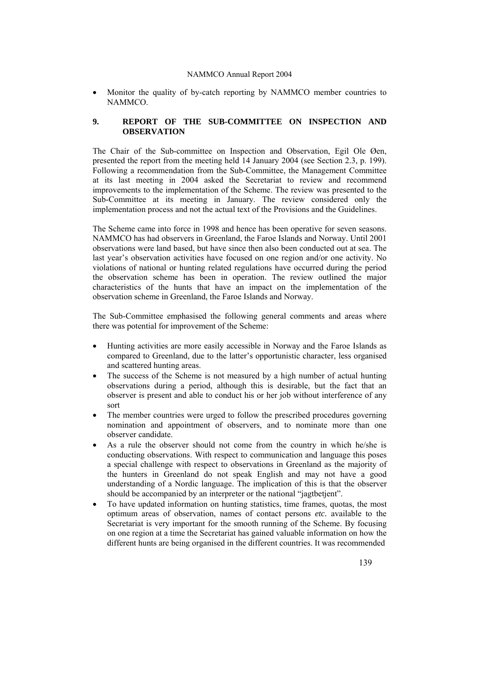• Monitor the quality of by-catch reporting by NAMMCO member countries to NAMMCO.

## **9. REPORT OF THE SUB-COMMITTEE ON INSPECTION AND OBSERVATION**

The Chair of the Sub-committee on Inspection and Observation, Egil Ole Øen, presented the report from the meeting held 14 January 2004 (see Section 2.3, p. 199). Following a recommendation from the Sub-Committee, the Management Committee at its last meeting in 2004 asked the Secretariat to review and recommend improvements to the implementation of the Scheme. The review was presented to the Sub-Committee at its meeting in January. The review considered only the implementation process and not the actual text of the Provisions and the Guidelines.

The Scheme came into force in 1998 and hence has been operative for seven seasons. NAMMCO has had observers in Greenland, the Faroe Islands and Norway. Until 2001 observations were land based, but have since then also been conducted out at sea. The last year's observation activities have focused on one region and/or one activity. No violations of national or hunting related regulations have occurred during the period the observation scheme has been in operation. The review outlined the major characteristics of the hunts that have an impact on the implementation of the observation scheme in Greenland, the Faroe Islands and Norway.

The Sub-Committee emphasised the following general comments and areas where there was potential for improvement of the Scheme:

- Hunting activities are more easily accessible in Norway and the Faroe Islands as compared to Greenland, due to the latter's opportunistic character, less organised and scattered hunting areas.
- The success of the Scheme is not measured by a high number of actual hunting observations during a period, although this is desirable, but the fact that an observer is present and able to conduct his or her job without interference of any sort
- The member countries were urged to follow the prescribed procedures governing nomination and appointment of observers, and to nominate more than one observer candidate.
- As a rule the observer should not come from the country in which he/she is conducting observations. With respect to communication and language this poses a special challenge with respect to observations in Greenland as the majority of the hunters in Greenland do not speak English and may not have a good understanding of a Nordic language. The implication of this is that the observer should be accompanied by an interpreter or the national "jagtbetjent".
- To have updated information on hunting statistics, time frames, quotas, the most optimum areas of observation, names of contact persons *etc.* available to the Secretariat is very important for the smooth running of the Scheme. By focusing on one region at a time the Secretariat has gained valuable information on how the different hunts are being organised in the different countries. It was recommended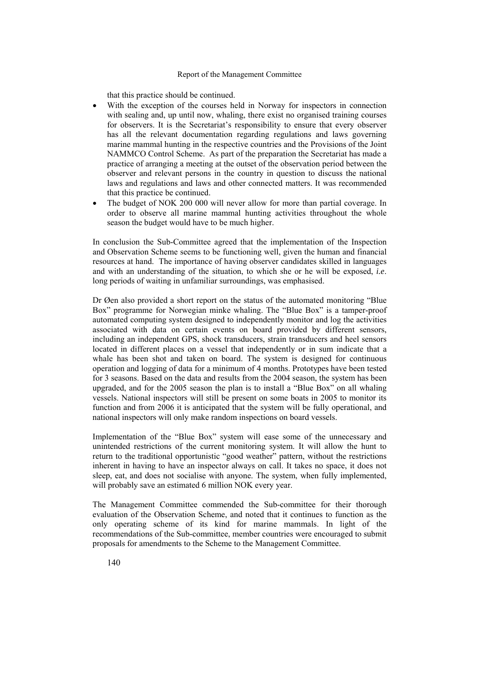that this practice should be continued.

- With the exception of the courses held in Norway for inspectors in connection with sealing and, up until now, whaling, there exist no organised training courses for observers. It is the Secretariat's responsibility to ensure that every observer has all the relevant documentation regarding regulations and laws governing marine mammal hunting in the respective countries and the Provisions of the Joint NAMMCO Control Scheme. As part of the preparation the Secretariat has made a practice of arranging a meeting at the outset of the observation period between the observer and relevant persons in the country in question to discuss the national laws and regulations and laws and other connected matters. It was recommended that this practice be continued.
- The budget of NOK 200 000 will never allow for more than partial coverage. In order to observe all marine mammal hunting activities throughout the whole season the budget would have to be much higher.

In conclusion the Sub-Committee agreed that the implementation of the Inspection and Observation Scheme seems to be functioning well, given the human and financial resources at hand. The importance of having observer candidates skilled in languages and with an understanding of the situation, to which she or he will be exposed, *i.e*. long periods of waiting in unfamiliar surroundings, was emphasised.

Dr Øen also provided a short report on the status of the automated monitoring "Blue Box" programme for Norwegian minke whaling. The "Blue Box" is a tamper-proof automated computing system designed to independently monitor and log the activities associated with data on certain events on board provided by different sensors, including an independent GPS, shock transducers, strain transducers and heel sensors located in different places on a vessel that independently or in sum indicate that a whale has been shot and taken on board. The system is designed for continuous operation and logging of data for a minimum of 4 months. Prototypes have been tested for 3 seasons. Based on the data and results from the 2004 season, the system has been upgraded, and for the 2005 season the plan is to install a "Blue Box" on all whaling vessels. National inspectors will still be present on some boats in 2005 to monitor its function and from 2006 it is anticipated that the system will be fully operational, and national inspectors will only make random inspections on board vessels.

Implementation of the "Blue Box" system will ease some of the unnecessary and unintended restrictions of the current monitoring system. It will allow the hunt to return to the traditional opportunistic "good weather" pattern, without the restrictions inherent in having to have an inspector always on call. It takes no space, it does not sleep, eat, and does not socialise with anyone. The system, when fully implemented, will probably save an estimated 6 million NOK every year.

The Management Committee commended the Sub-committee for their thorough evaluation of the Observation Scheme, and noted that it continues to function as the only operating scheme of its kind for marine mammals. In light of the recommendations of the Sub-committee, member countries were encouraged to submit proposals for amendments to the Scheme to the Management Committee.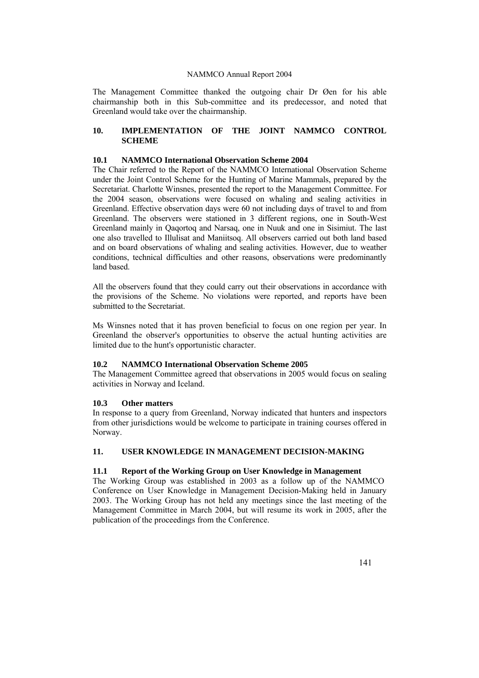The Management Committee thanked the outgoing chair Dr Øen for his able chairmanship both in this Sub-committee and its predecessor, and noted that Greenland would take over the chairmanship.

## **10. IMPLEMENTATION OF THE JOINT NAMMCO CONTROL SCHEME**

#### **10.1 NAMMCO International Observation Scheme 2004**

The Chair referred to the Report of the NAMMCO International Observation Scheme under the Joint Control Scheme for the Hunting of Marine Mammals, prepared by the Secretariat. Charlotte Winsnes, presented the report to the Management Committee. For the 2004 season, observations were focused on whaling and sealing activities in Greenland. Effective observation days were 60 not including days of travel to and from Greenland. The observers were stationed in 3 different regions, one in South-West Greenland mainly in Qaqortoq and Narsaq, one in Nuuk and one in Sisimiut. The last one also travelled to Illulisat and Maniitsoq. All observers carried out both land based and on board observations of whaling and sealing activities. However, due to weather conditions, technical difficulties and other reasons, observations were predominantly land based.

All the observers found that they could carry out their observations in accordance with the provisions of the Scheme. No violations were reported, and reports have been submitted to the Secretariat.

Ms Winsnes noted that it has proven beneficial to focus on one region per year. In Greenland the observer's opportunities to observe the actual hunting activities are limited due to the hunt's opportunistic character.

## **10.2 NAMMCO International Observation Scheme 2005**

The Management Committee agreed that observations in 2005 would focus on sealing activities in Norway and Iceland.

## **10.3 Other matters**

In response to a query from Greenland, Norway indicated that hunters and inspectors from other jurisdictions would be welcome to participate in training courses offered in Norway.

## **11. USER KNOWLEDGE IN MANAGEMENT DECISION-MAKING**

## **11.1 Report of the Working Group on User Knowledge in Management**

The Working Group was established in 2003 as a follow up of the NAMMCO Conference on User Knowledge in Management Decision-Making held in January 2003. The Working Group has not held any meetings since the last meeting of the Management Committee in March 2004, but will resume its work in 2005, after the publication of the proceedings from the Conference.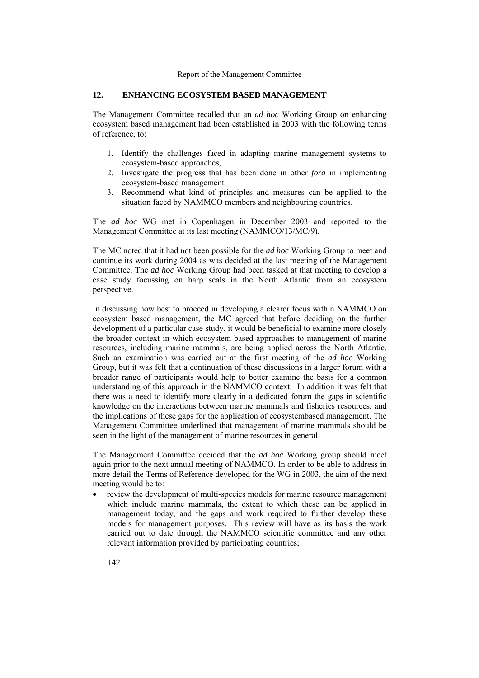#### **12. ENHANCING ECOSYSTEM BASED MANAGEMENT**

The Management Committee recalled that an *ad hoc* Working Group on enhancing ecosystem based management had been established in 2003 with the following terms of reference, to:

- 1. Identify the challenges faced in adapting marine management systems to ecosystem-based approaches,
- 2. Investigate the progress that has been done in other *fora* in implementing ecosystem-based management
- 3. Recommend what kind of principles and measures can be applied to the situation faced by NAMMCO members and neighbouring countries.

The *ad hoc* WG met in Copenhagen in December 2003 and reported to the Management Committee at its last meeting (NAMMCO/13/MC/9).

The MC noted that it had not been possible for the *ad hoc* Working Group to meet and continue its work during 2004 as was decided at the last meeting of the Management Committee. The *ad hoc* Working Group had been tasked at that meeting to develop a case study focussing on harp seals in the North Atlantic from an ecosystem perspective.

In discussing how best to proceed in developing a clearer focus within NAMMCO on ecosystem based management, the MC agreed that before deciding on the further development of a particular case study, it would be beneficial to examine more closely the broader context in which ecosystem based approaches to management of marine resources, including marine mammals, are being applied across the North Atlantic. Such an examination was carried out at the first meeting of the *ad hoc* Working Group, but it was felt that a continuation of these discussions in a larger forum with a broader range of participants would help to better examine the basis for a common understanding of this approach in the NAMMCO context. In addition it was felt that there was a need to identify more clearly in a dedicated forum the gaps in scientific knowledge on the interactions between marine mammals and fisheries resources, and the implications of these gaps for the application of ecosystembased management. The Management Committee underlined that management of marine mammals should be seen in the light of the management of marine resources in general.

The Management Committee decided that the *ad hoc* Working group should meet again prior to the next annual meeting of NAMMCO. In order to be able to address in more detail the Terms of Reference developed for the WG in 2003, the aim of the next meeting would be to:

• review the development of multi-species models for marine resource management which include marine mammals, the extent to which these can be applied in management today, and the gaps and work required to further develop these models for management purposes. This review will have as its basis the work carried out to date through the NAMMCO scientific committee and any other relevant information provided by participating countries;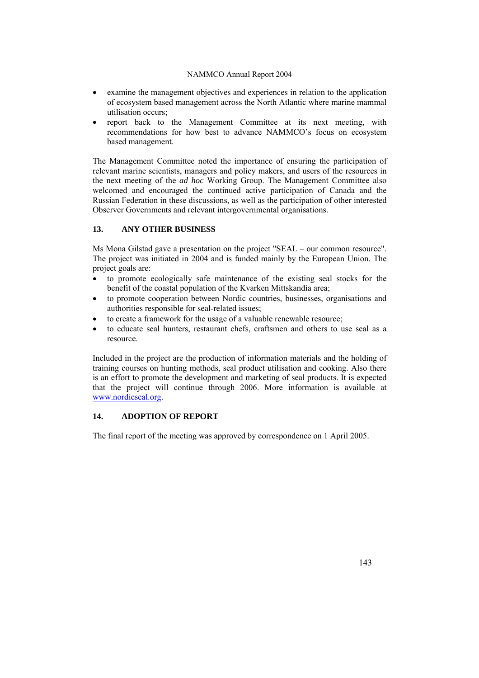- examine the management objectives and experiences in relation to the application of ecosystem based management across the North Atlantic where marine mammal utilisation occurs;
- report back to the Management Committee at its next meeting, with recommendations for how best to advance NAMMCO's focus on ecosystem based management.

The Management Committee noted the importance of ensuring the participation of relevant marine scientists, managers and policy makers, and users of the resources in the next meeting of the *ad hoc* Working Group. The Management Committee also welcomed and encouraged the continued active participation of Canada and the Russian Federation in these discussions, as well as the participation of other interested Observer Governments and relevant intergovernmental organisations.

## **13. ANY OTHER BUSINESS**

Ms Mona Gilstad gave a presentation on the project "SEAL – our common resource". The project was initiated in 2004 and is funded mainly by the European Union. The project goals are:

- to promote ecologically safe maintenance of the existing seal stocks for the benefit of the coastal population of the Kvarken Mittskandia area;
- to promote cooperation between Nordic countries, businesses, organisations and authorities responsible for seal-related issues;
- to create a framework for the usage of a valuable renewable resource;
- to educate seal hunters, restaurant chefs, craftsmen and others to use seal as a resource.

Included in the project are the production of information materials and the holding of training courses on hunting methods, seal product utilisation and cooking. Also there is an effort to promote the development and marketing of seal products. It is expected that the project will continue through 2006. More information is available at [www.nordicseal.org](http://www.nordicseal.org/).

## **14. ADOPTION OF REPORT**

The final report of the meeting was approved by correspondence on 1 April 2005.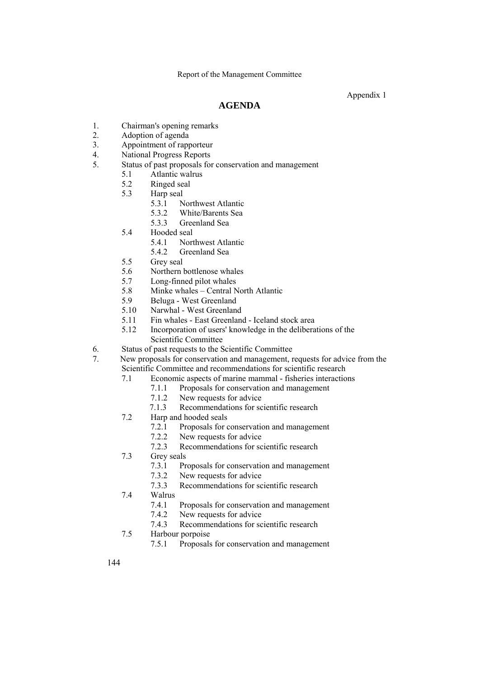Appendix 1

# **AGENDA**

- 1. Chairman's opening remarks
- 2. Adoption of agenda
- 3. Appointment of rapporteur
- 4. National Progress Reports
- 5. Status of past proposals for conservation and management
	- 5.1 Atlantic walrus
	- 5.2 Ringed seal
	- 5.3 Harp seal
		- 5.3.1 Northwest Atlantic
		- 5.3.2 White/Barents Sea
		- 5.3.3 Greenland Sea
	- 5.4 Hooded seal
		- 5.4.1 Northwest Atlantic
		- 5.4.2 Greenland Sea
	- 5.5 Grey seal
	- 5.6 Northern bottlenose whales
	- 5.7 Long-finned pilot whales
	- 5.8 Minke whales Central North Atlantic
	- 5.9 Beluga West Greenland
	- 5.10 Narwhal West Greenland
	- 5.11 Fin whales East Greenland Iceland stock area
	- 5.12 Incorporation of users' knowledge in the deliberations of the
	- Scientific Committee
- 6. Status of past requests to the Scientific Committee
- 7. New proposals for conservation and management, requests for advice from the Scientific Committee and recommendations for scientific research
	- 7.1 Economic aspects of marine mammal fisheries interactions
		- 7.1.1 Proposals for conservation and management
		- 7.1.2 New requests for advice
		- 7.1.3 Recommendations for scientific research
	- 7.2 Harp and hooded seals
		- 7.2.1 Proposals for conservation and management
		- 7.2.2 New requests for advice
	- 7.2.3 Recommendations for scientific research<br>
	7.3 Grev seals
	- Grey seals
		- 7.3.1 Proposals for conservation and management
		- 7.3.2 New requests for advice
		- 7.3.3 Recommendations for scientific research
	- 7.4 Walrus
		- 7.4.1 Proposals for conservation and management
		- 7.4.2 New requests for advice
		- 7.4.3 Recommendations for scientific research
	- 7.5 Harbour porpoise
		- 7.5.1 Proposals for conservation and management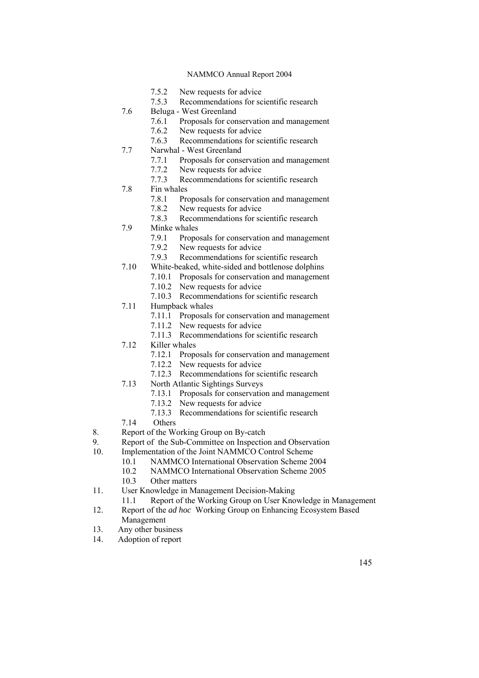- 7.5.2 New requests for advice
- 7.5.3 Recommendations for scientific research
- 7.6 Beluga West Greenland
	- 7.6.1 Proposals for conservation and management<br>7.6.2 New requests for advice
		- New requests for advice
	- 7.6.3 Recommendations for scientific research
- 7.7 Narwhal West Greenland
	- 7.7.1 Proposals for conservation and management 7.7.2 New requests for advice
	-
	- 7.7.3 Recommendations for scientific research
- 7.8 Fin whales
	- 7.8.1 Proposals for conservation and management
	- 7.8.2 New requests for advice<br>7.8.3 Recommendations for so
- 7.8.3 Recommendations for scientific research<br>
7.9 Minke whales
- Minke whales
	- 7.9.1 Proposals for conservation and management
	- 7.9.2 New requests for advice
	- 7.9.3 Recommendations for scientific research
- 7.10 White-beaked, white-sided and bottlenose dolphins
	- 7.10.1 Proposals for conservation and management
	- 7.10.2 New requests for advice
	- 7.10.3 Recommendations for scientific research
- 7.11 Humpback whales
	- 7.11.1 Proposals for conservation and management
	- 7.11.2 New requests for advice
	- 7.11.3 Recommendations for scientific research
- 7.12 Killer whales
	- 7.12.1 Proposals for conservation and management
	- 7.12.2 New requests for advice
	- 7.12.3 Recommendations for scientific research
- 7.13 North Atlantic Sightings Surveys
	- 7.13.1 Proposals for conservation and management
	- 7.13.2 New requests for advice
	- 7.13.3 Recommendations for scientific research
- 7.14 Others
- 8. Report of the Working Group on By-catch
- 9. Report of the Sub-Committee on Inspection and Observation
- 10. Implementation of the Joint NAMMCO Control Scheme
	- 10.1 NAMMCO International Observation Scheme 2004
	- 10.2 NAMMCO International Observation Scheme 2005
	- 10.3 Other matters
- 11. User Knowledge in Management Decision-Making
	- 11.1 Report of the Working Group on User Knowledge in Management
- 12. Report of the *ad hoc* Working Group on Enhancing Ecosystem Based Management
- 13. Any other business
- 14. Adoption of report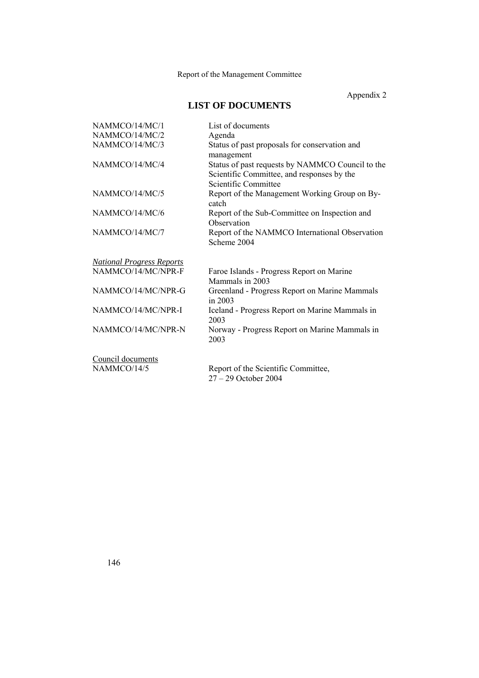Appendix 2

# **LIST OF DOCUMENTS**

| NAMMCO/14/MC/1                   | List of documents                                                                                                      |
|----------------------------------|------------------------------------------------------------------------------------------------------------------------|
| NAMMCO/14/MC/2                   | Agenda                                                                                                                 |
| NAMMCO/14/MC/3                   | Status of past proposals for conservation and<br>management                                                            |
| NAMMCO/14/MC/4                   | Status of past requests by NAMMCO Council to the<br>Scientific Committee, and responses by the<br>Scientific Committee |
| NAMMCO/14/MC/5                   | Report of the Management Working Group on By-<br>catch                                                                 |
| NAMMCO/14/MC/6                   | Report of the Sub-Committee on Inspection and<br>Observation                                                           |
| NAMMCO/14/MC/7                   | Report of the NAMMCO International Observation<br>Scheme 2004                                                          |
| <b>National Progress Reports</b> |                                                                                                                        |
| NAMMCO/14/MC/NPR-F               | Faroe Islands - Progress Report on Marine<br>Mammals in 2003                                                           |
| NAMMCO/14/MC/NPR-G               | Greenland - Progress Report on Marine Mammals<br>in $2003$                                                             |
| NAMMCO/14/MC/NPR-I               | Iceland - Progress Report on Marine Mammals in<br>2003                                                                 |
| NAMMCO/14/MC/NPR-N               | Norway - Progress Report on Marine Mammals in<br>2003                                                                  |
| Council documents                |                                                                                                                        |
| NAMMCO/14/5                      | Report of the Scientific Committee,<br>27 - 29 October 2004                                                            |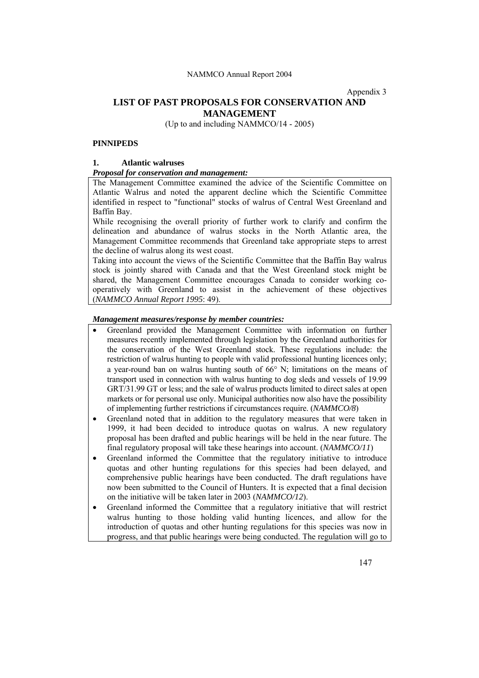Appendix 3

## **LIST OF PAST PROPOSALS FOR CONSERVATION AND MANAGEMENT**

(Up to and including NAMMCO/14 - 2005)

## **PINNIPEDS**

## **1. Atlantic walruses**

## *Proposal for conservation and management:*

The Management Committee examined the advice of the Scientific Committee on Atlantic Walrus and noted the apparent decline which the Scientific Committee identified in respect to "functional" stocks of walrus of Central West Greenland and Baffin Bay.

While recognising the overall priority of further work to clarify and confirm the delineation and abundance of walrus stocks in the North Atlantic area, the Management Committee recommends that Greenland take appropriate steps to arrest the decline of walrus along its west coast.

Taking into account the views of the Scientific Committee that the Baffin Bay walrus stock is jointly shared with Canada and that the West Greenland stock might be shared, the Management Committee encourages Canada to consider working cooperatively with Greenland to assist in the achievement of these objectives (*NAMMCO Annual Report 1995*: 49).

#### *Management measures/response by member countries:*

- Greenland provided the Management Committee with information on further measures recently implemented through legislation by the Greenland authorities for the conservation of the West Greenland stock. These regulations include: the restriction of walrus hunting to people with valid professional hunting licences only; a year-round ban on walrus hunting south of 66° N; limitations on the means of transport used in connection with walrus hunting to dog sleds and vessels of 19.99 GRT/31.99 GT or less; and the sale of walrus products limited to direct sales at open markets or for personal use only. Municipal authorities now also have the possibility of implementing further restrictions if circumstances require. (*NAMMCO/8*)
- Greenland noted that in addition to the regulatory measures that were taken in 1999, it had been decided to introduce quotas on walrus. A new regulatory proposal has been drafted and public hearings will be held in the near future. The final regulatory proposal will take these hearings into account. (*NAMMCO/11*)
- Greenland informed the Committee that the regulatory initiative to introduce quotas and other hunting regulations for this species had been delayed, and comprehensive public hearings have been conducted. The draft regulations have now been submitted to the Council of Hunters. It is expected that a final decision on the initiative will be taken later in 2003 (*NAMMCO/12*).
- Greenland informed the Committee that a regulatory initiative that will restrict walrus hunting to those holding valid hunting licences, and allow for the introduction of quotas and other hunting regulations for this species was now in progress, and that public hearings were being conducted. The regulation will go to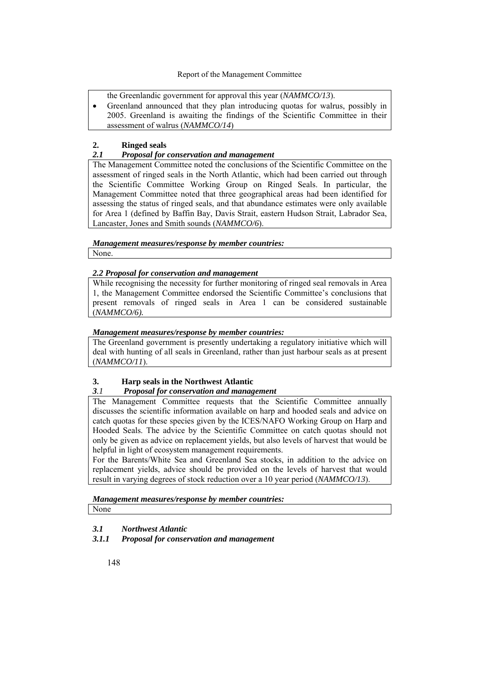the Greenlandic government for approval this year (*NAMMCO/13*).

• Greenland announced that they plan introducing quotas for walrus, possibly in 2005. Greenland is awaiting the findings of the Scientific Committee in their assessment of walrus (*NAMMCO/14*)

## **2. Ringed seals**

## *2.1 Proposal for conservation and management*

The Management Committee noted the conclusions of the Scientific Committee on the assessment of ringed seals in the North Atlantic, which had been carried out through the Scientific Committee Working Group on Ringed Seals. In particular, the Management Committee noted that three geographical areas had been identified for assessing the status of ringed seals, and that abundance estimates were only available for Area 1 (defined by Baffin Bay, Davis Strait, eastern Hudson Strait, Labrador Sea, Lancaster, Jones and Smith sounds (*NAMMCO/6*).

*Management measures/response by member countries:* None.

## *2.2 Proposal for conservation and management*

While recognising the necessity for further monitoring of ringed seal removals in Area 1, the Management Committee endorsed the Scientific Committee's conclusions that present removals of ringed seals in Area 1 can be considered sustainable (*NAMMCO/6).*

## *Management measures/response by member countries:*

The Greenland government is presently undertaking a regulatory initiative which will deal with hunting of all seals in Greenland, rather than just harbour seals as at present (*NAMMCO/11*).

# **3. Harp seals in the Northwest Atlantic**

## *3.1 Proposal for conservation and management*

The Management Committee requests that the Scientific Committee annually discusses the scientific information available on harp and hooded seals and advice on catch quotas for these species given by the ICES/NAFO Working Group on Harp and Hooded Seals. The advice by the Scientific Committee on catch quotas should not only be given as advice on replacement yields, but also levels of harvest that would be helpful in light of ecosystem management requirements.

For the Barents/White Sea and Greenland Sea stocks, in addition to the advice on replacement yields, advice should be provided on the levels of harvest that would result in varying degrees of stock reduction over a 10 year period (*NAMMCO/13*).

## *Management measures/response by member countries:*

None

## *3.1 Northwest Atlantic*

## *3.1.1 Proposal for conservation and management*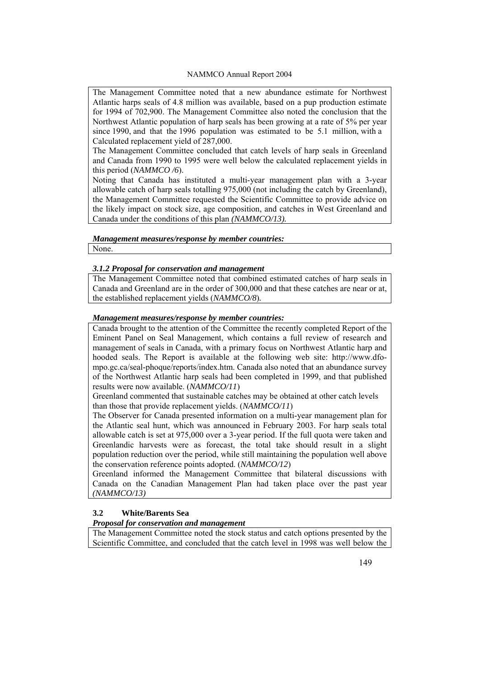The Management Committee noted that a new abundance estimate for Northwest Atlantic harps seals of 4.8 million was available, based on a pup production estimate for 1994 of 702,900. The Management Committee also noted the conclusion that the Northwest Atlantic population of harp seals has been growing at a rate of 5% per year since 1990, and that the 1996 population was estimated to be 5.1 million, with a Calculated replacement yield of 287,000.

The Management Committee concluded that catch levels of harp seals in Greenland and Canada from 1990 to 1995 were well below the calculated replacement yields in this period (*NAMMCO /6*).

Noting that Canada has instituted a multi-year management plan with a 3-year allowable catch of harp seals totalling 975,000 (not including the catch by Greenland), the Management Committee requested the Scientific Committee to provide advice on the likely impact on stock size, age composition, and catches in West Greenland and Canada under the conditions of this plan *(NAMMCO/13).*

## *Management measures/response by member countries:*

None.

## *3.1.2 Proposal for conservation and management*

The Management Committee noted that combined estimated catches of harp seals in Canada and Greenland are in the order of 300,000 and that these catches are near or at, the established replacement yields (*NAMMCO/8*)*.*

#### *Management measures/response by member countries:*

Canada brought to the attention of the Committee the recently completed Report of the Eminent Panel on Seal Management, which contains a full review of research and management of seals in Canada, with a primary focus on Northwest Atlantic harp and hooded seals. The Report is available at the following web site: http://www.dfompo.gc.ca/seal-phoque/reports/index.htm. Canada also noted that an abundance survey of the Northwest Atlantic harp seals had been completed in 1999, and that published results were now available. (*NAMMCO/11*)

Greenland commented that sustainable catches may be obtained at other catch levels than those that provide replacement yields. (*NAMMCO/11*)

The Observer for Canada presented information on a multi-year management plan for the Atlantic seal hunt, which was announced in February 2003. For harp seals total allowable catch is set at 975,000 over a 3-year period. If the full quota were taken and Greenlandic harvests were as forecast, the total take should result in a slight population reduction over the period, while still maintaining the population well above the conservation reference points adopted. (*NAMMCO/12*)

Greenland informed the Management Committee that bilateral discussions with Canada on the Canadian Management Plan had taken place over the past year *(NAMMCO/13)*

## **3.2 White/Barents Sea**

## *Proposal for conservation and management*

The Management Committee noted the stock status and catch options presented by the Scientific Committee, and concluded that the catch level in 1998 was well below the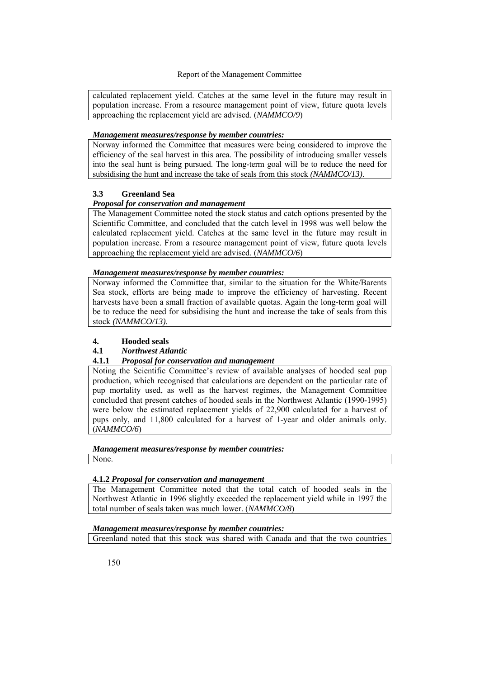calculated replacement yield. Catches at the same level in the future may result in population increase. From a resource management point of view, future quota levels approaching the replacement yield are advised. (*NAMMCO/9*)

## *Management measures/response by member countries:*

Norway informed the Committee that measures were being considered to improve the efficiency of the seal harvest in this area. The possibility of introducing smaller vessels into the seal hunt is being pursued. The long-term goal will be to reduce the need for subsidising the hunt and increase the take of seals from this stock *(NAMMCO/13)*.

## **3.3 Greenland Sea**

## *Proposal for conservation and management*

The Management Committee noted the stock status and catch options presented by the Scientific Committee, and concluded that the catch level in 1998 was well below the calculated replacement yield. Catches at the same level in the future may result in population increase. From a resource management point of view, future quota levels approaching the replacement yield are advised. (*NAMMCO/6*)

## *Management measures/response by member countries:*

Norway informed the Committee that, similar to the situation for the White/Barents Sea stock, efforts are being made to improve the efficiency of harvesting. Recent harvests have been a small fraction of available quotas. Again the long-term goal will be to reduce the need for subsidising the hunt and increase the take of seals from this stock *(NAMMCO/13)*.

## **4. Hooded seals**

## **4.1** *Northwest Atlantic*

## **4.1.1** *Proposal for conservation and management*

Noting the Scientific Committee's review of available analyses of hooded seal pup production, which recognised that calculations are dependent on the particular rate of pup mortality used, as well as the harvest regimes, the Management Committee concluded that present catches of hooded seals in the Northwest Atlantic (1990-1995) were below the estimated replacement yields of 22,900 calculated for a harvest of pups only, and 11,800 calculated for a harvest of 1-year and older animals only. (*NAMMCO/6*)

## *Management measures/response by member countries:*

None.

## **4.1.2** *Proposal for conservation and management*

The Management Committee noted that the total catch of hooded seals in the Northwest Atlantic in 1996 slightly exceeded the replacement yield while in 1997 the total number of seals taken was much lower. (*NAMMCO/8*)

## *Management measures/response by member countries:*

Greenland noted that this stock was shared with Canada and that the two countries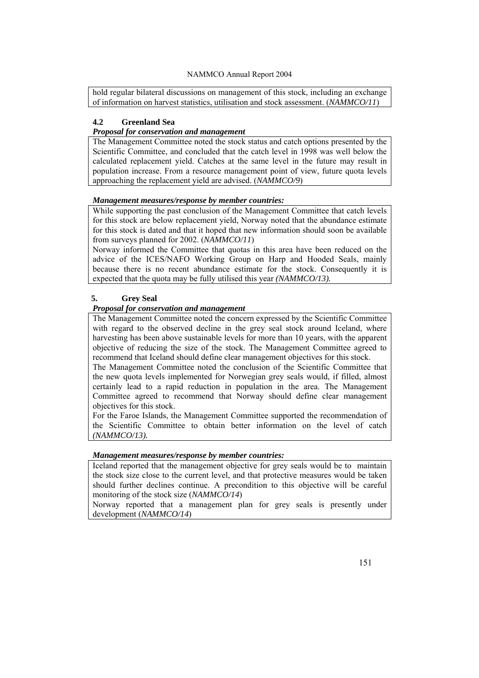hold regular bilateral discussions on management of this stock, including an exchange of information on harvest statistics, utilisation and stock assessment. (*NAMMCO/11*)

#### **4.2 Greenland Sea**

#### *Proposal for conservation and management*

The Management Committee noted the stock status and catch options presented by the Scientific Committee, and concluded that the catch level in 1998 was well below the calculated replacement yield. Catches at the same level in the future may result in population increase. From a resource management point of view, future quota levels approaching the replacement yield are advised. (*NAMMCO/9*)

## *Management measures/response by member countries:*

While supporting the past conclusion of the Management Committee that catch levels for this stock are below replacement yield, Norway noted that the abundance estimate for this stock is dated and that it hoped that new information should soon be available from surveys planned for 2002. (*NAMMCO/11*)

Norway informed the Committee that quotas in this area have been reduced on the advice of the ICES/NAFO Working Group on Harp and Hooded Seals, mainly because there is no recent abundance estimate for the stock. Consequently it is expected that the quota may be fully utilised this year *(NAMMCO/13).*

## **5. Grey Seal**

#### *Proposal for conservation and management*

The Management Committee noted the concern expressed by the Scientific Committee with regard to the observed decline in the grey seal stock around Iceland, where harvesting has been above sustainable levels for more than 10 years, with the apparent objective of reducing the size of the stock. The Management Committee agreed to recommend that Iceland should define clear management objectives for this stock.

The Management Committee noted the conclusion of the Scientific Committee that the new quota levels implemented for Norwegian grey seals would, if filled, almost certainly lead to a rapid reduction in population in the area. The Management Committee agreed to recommend that Norway should define clear management objectives for this stock.

For the Faroe Islands, the Management Committee supported the recommendation of the Scientific Committee to obtain better information on the level of catch *(NAMMCO/13).*

#### *Management measures/response by member countries:*

Iceland reported that the management objective for grey seals would be to maintain the stock size close to the current level, and that protective measures would be taken should further declines continue. A precondition to this objective will be careful monitoring of the stock size (*NAMMCO/14*)

Norway reported that a management plan for grey seals is presently under development (*NAMMCO/14*)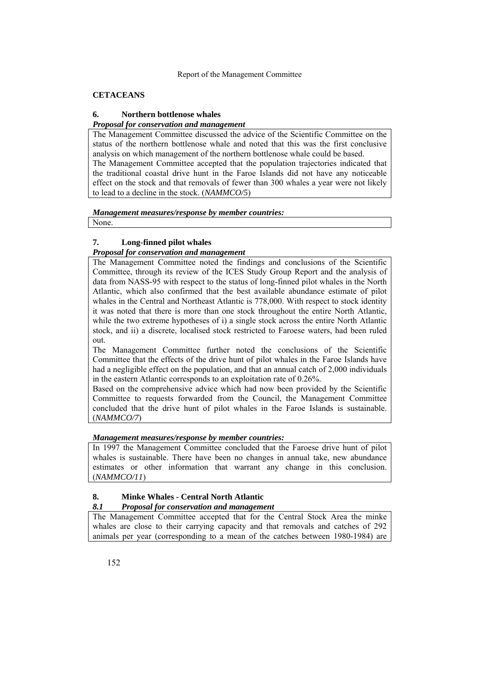## **CETACEANS**

# **6. Northern bottlenose whales**

*Proposal for conservation and management*

The Management Committee discussed the advice of the Scientific Committee on the status of the northern bottlenose whale and noted that this was the first conclusive analysis on which management of the northern bottlenose whale could be based. The Management Committee accepted that the population trajectories indicated that the traditional coastal drive hunt in the Faroe Islands did not have any noticeable effect on the stock and that removals of fewer than 300 whales a year were not likely to lead to a decline in the stock. (*NAMMCO/5*)

## *Management measures/response by member countries:*

None.

# **7. Long-finned pilot whales**

## *Proposal for conservation and management*

The Management Committee noted the findings and conclusions of the Scientific Committee, through its review of the ICES Study Group Report and the analysis of data from NASS-95 with respect to the status of long-finned pilot whales in the North Atlantic, which also confirmed that the best available abundance estimate of pilot whales in the Central and Northeast Atlantic is 778,000. With respect to stock identity it was noted that there is more than one stock throughout the entire North Atlantic, while the two extreme hypotheses of i) a single stock across the entire North Atlantic stock, and ii) a discrete, localised stock restricted to Faroese waters, had been ruled out.

The Management Committee further noted the conclusions of the Scientific Committee that the effects of the drive hunt of pilot whales in the Faroe Islands have had a negligible effect on the population, and that an annual catch of 2,000 individuals in the eastern Atlantic corresponds to an exploitation rate of 0.26%.

Based on the comprehensive advice which had now been provided by the Scientific Committee to requests forwarded from the Council, the Management Committee concluded that the drive hunt of pilot whales in the Faroe Islands is sustainable. (*NAMMCO/7*)

## *Management measures/response by member countries:*

In 1997 the Management Committee concluded that the Faroese drive hunt of pilot whales is sustainable. There have been no changes in annual take, new abundance estimates or other information that warrant any change in this conclusion. (*NAMMCO/11*)

## **8. Minke Whales - Central North Atlantic**

## *8.1 Proposal for conservation and management*

The Management Committee accepted that for the Central Stock Area the minke whales are close to their carrying capacity and that removals and catches of 292 animals per year (corresponding to a mean of the catches between 1980-1984) are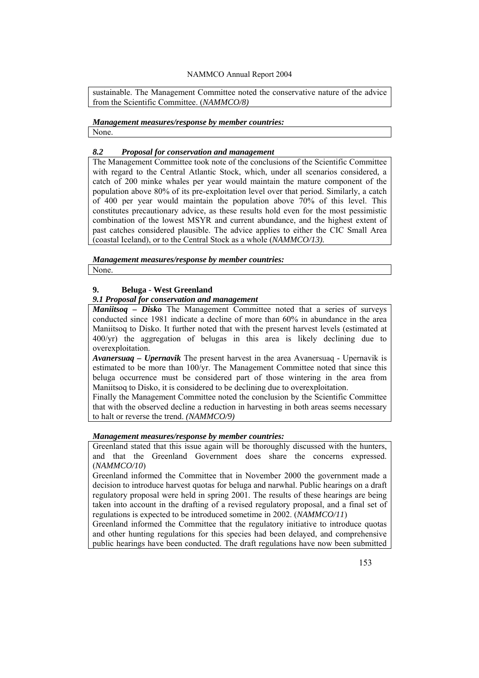sustainable. The Management Committee noted the conservative nature of the advice from the Scientific Committee. (*NAMMCO/8)*

## *Management measures/response by member countries:* None.

## *8.2 Proposal for conservation and management*

The Management Committee took note of the conclusions of the Scientific Committee with regard to the Central Atlantic Stock, which, under all scenarios considered, a catch of 200 minke whales per year would maintain the mature component of the population above 80% of its pre-exploitation level over that period. Similarly, a catch of 400 per year would maintain the population above  $70\%$  of this level. This constitutes precautionary advice, as these results hold even for the most pessimistic combination of the lowest MSYR and current abundance, and the highest extent of past catches considered plausible. The advice applies to either the CIC Small Area (coastal Iceland), or to the Central Stock as a whole (*NAMMCO/13).*

*Management measures/response by member countries:* None.

## **9. Beluga - West Greenland**

## *9.1 Proposal for conservation and management*

*Maniitsoq – Disko* The Management Committee noted that a series of surveys conducted since 1981 indicate a decline of more than 60% in abundance in the area Maniitsoq to Disko. It further noted that with the present harvest levels (estimated at 400/yr) the aggregation of belugas in this area is likely declining due to overexploitation.

*Avanersuaq – Upernavik* The present harvest in the area Avanersuaq - Upernavik is estimated to be more than 100/yr. The Management Committee noted that since this beluga occurrence must be considered part of those wintering in the area from Maniitsoq to Disko, it is considered to be declining due to overexploitation.

Finally the Management Committee noted the conclusion by the Scientific Committee that with the observed decline a reduction in harvesting in both areas seems necessary to halt or reverse the trend. *(NAMMCO/9)*

## *Management measures/response by member countries:*

Greenland stated that this issue again will be thoroughly discussed with the hunters, and that the Greenland Government does share the concerns expressed. (*NAMMCO/10*)

Greenland informed the Committee that in November 2000 the government made a decision to introduce harvest quotas for beluga and narwhal. Public hearings on a draft regulatory proposal were held in spring 2001. The results of these hearings are being taken into account in the drafting of a revised regulatory proposal, and a final set of regulations is expected to be introduced sometime in 2002. (*NAMMCO/11*)

Greenland informed the Committee that the regulatory initiative to introduce quotas and other hunting regulations for this species had been delayed, and comprehensive public hearings have been conducted. The draft regulations have now been submitted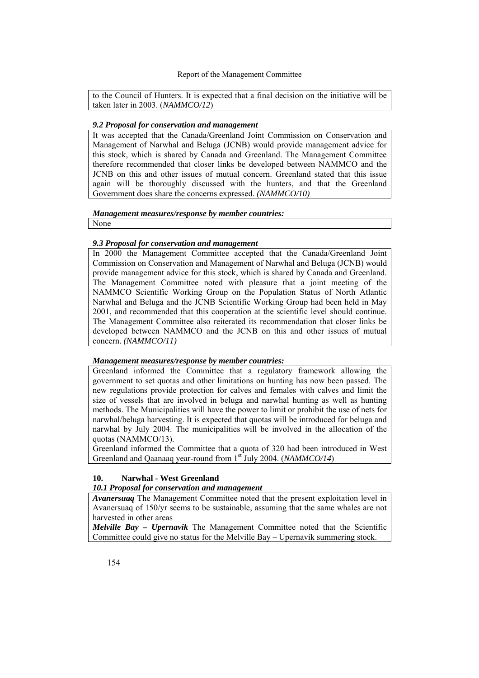to the Council of Hunters. It is expected that a final decision on the initiative will be taken later in 2003. (*NAMMCO/12*)

#### *9.2 Proposal for conservation and management*

It was accepted that the Canada/Greenland Joint Commission on Conservation and Management of Narwhal and Beluga (JCNB) would provide management advice for this stock, which is shared by Canada and Greenland. The Management Committee therefore recommended that closer links be developed between NAMMCO and the JCNB on this and other issues of mutual concern. Greenland stated that this issue again will be thoroughly discussed with the hunters, and that the Greenland Government does share the concerns expressed. *(NAMMCO/10)*

#### *Management measures/response by member countries:*

None

## *9.3 Proposal for conservation and management*

In 2000 the Management Committee accepted that the Canada/Greenland Joint Commission on Conservation and Management of Narwhal and Beluga (JCNB) would provide management advice for this stock, which is shared by Canada and Greenland. The Management Committee noted with pleasure that a joint meeting of the NAMMCO Scientific Working Group on the Population Status of North Atlantic Narwhal and Beluga and the JCNB Scientific Working Group had been held in May 2001, and recommended that this cooperation at the scientific level should continue. The Management Committee also reiterated its recommendation that closer links be developed between NAMMCO and the JCNB on this and other issues of mutual concern. *(NAMMCO/11)*

## *Management measures/response by member countries:*

Greenland informed the Committee that a regulatory framework allowing the government to set quotas and other limitations on hunting has now been passed. The new regulations provide protection for calves and females with calves and limit the size of vessels that are involved in beluga and narwhal hunting as well as hunting methods. The Municipalities will have the power to limit or prohibit the use of nets for narwhal/beluga harvesting. It is expected that quotas will be introduced for beluga and narwhal by July 2004. The municipalities will be involved in the allocation of the quotas (NAMMCO/13).

Greenland informed the Committee that a quota of 320 had been introduced in West Greenland and Qaanaaq year-round from 1<sup>st</sup> July 2004. (*NAMMCO*/14)

## **10. Narwhal - West Greenland**

## *10.1 Proposal for conservation and management*

*Avanersuaq* The Management Committee noted that the present exploitation level in Avanersuaq of 150/yr seems to be sustainable, assuming that the same whales are not harvested in other areas

*Melville Bay – Upernavik* The Management Committee noted that the Scientific Committee could give no status for the Melville Bay – Upernavik summering stock.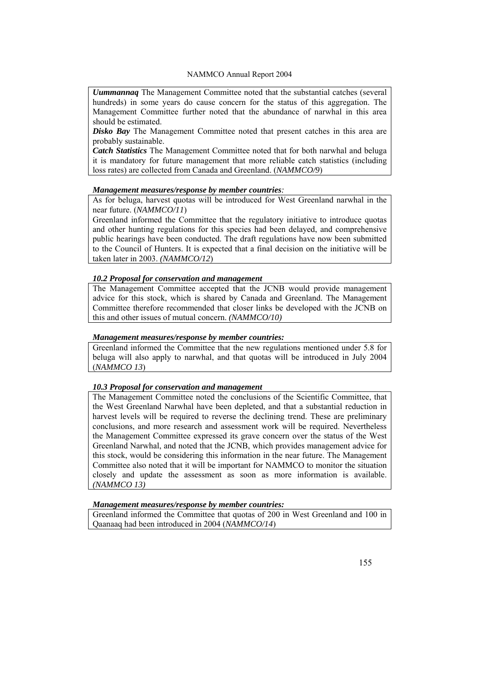*Uummannaq* The Management Committee noted that the substantial catches (several hundreds) in some years do cause concern for the status of this aggregation. The Management Committee further noted that the abundance of narwhal in this area should be estimated.

*Disko Bay* The Management Committee noted that present catches in this area are probably sustainable.

*Catch Statistics* The Management Committee noted that for both narwhal and beluga it is mandatory for future management that more reliable catch statistics (including loss rates) are collected from Canada and Greenland. (*NAMMCO/9*)

#### *Management measures/response by member countries:*

As for beluga, harvest quotas will be introduced for West Greenland narwhal in the near future. (*NAMMCO/11*)

Greenland informed the Committee that the regulatory initiative to introduce quotas and other hunting regulations for this species had been delayed, and comprehensive public hearings have been conducted. The draft regulations have now been submitted to the Council of Hunters. It is expected that a final decision on the initiative will be taken later in 2003. *(NAMMCO/12*)

## *10.2 Proposal for conservation and management*

The Management Committee accepted that the JCNB would provide management advice for this stock, which is shared by Canada and Greenland. The Management Committee therefore recommended that closer links be developed with the JCNB on this and other issues of mutual concern. *(NAMMCO/10)*

#### *Management measures/response by member countries:*

Greenland informed the Committee that the new regulations mentioned under 5.8 for beluga will also apply to narwhal, and that quotas will be introduced in July 2004 (*NAMMCO 13*)

#### *10.3 Proposal for conservation and management*

The Management Committee noted the conclusions of the Scientific Committee, that the West Greenland Narwhal have been depleted, and that a substantial reduction in harvest levels will be required to reverse the declining trend. These are preliminary conclusions, and more research and assessment work will be required. Nevertheless the Management Committee expressed its grave concern over the status of the West Greenland Narwhal, and noted that the JCNB, which provides management advice for this stock, would be considering this information in the near future. The Management Committee also noted that it will be important for NAMMCO to monitor the situation closely and update the assessment as soon as more information is available. *(NAMMCO 13)*

#### *Management measures/response by member countries:*

Greenland informed the Committee that quotas of 200 in West Greenland and 100 in Qaanaaq had been introduced in 2004 (*NAMMCO/14*)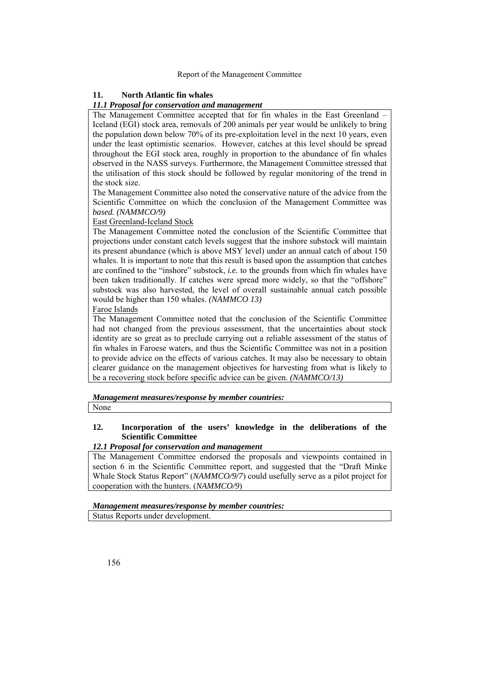#### **11. North Atlantic fin whales**

#### *11.1 Proposal for conservation and management*

The Management Committee accepted that for fin whales in the East Greenland – Iceland (EGI) stock area, removals of 200 animals per year would be unlikely to bring the population down below 70% of its pre-exploitation level in the next 10 years, even under the least optimistic scenarios. However, catches at this level should be spread throughout the EGI stock area, roughly in proportion to the abundance of fin whales observed in the NASS surveys. Furthermore, the Management Committee stressed that the utilisation of this stock should be followed by regular monitoring of the trend in the stock size.

The Management Committee also noted the conservative nature of the advice from the Scientific Committee on which the conclusion of the Management Committee was *based. (NAMMCO/9)* 

#### East Greenland-Iceland Stock

The Management Committee noted the conclusion of the Scientific Committee that projections under constant catch levels suggest that the inshore substock will maintain its present abundance (which is above MSY level) under an annual catch of about 150 whales. It is important to note that this result is based upon the assumption that catches are confined to the "inshore" substock, *i.e.* to the grounds from which fin whales have been taken traditionally. If catches were spread more widely, so that the "offshore" substock was also harvested, the level of overall sustainable annual catch possible would be higher than 150 whales. *(NAMMCO 13)* 

#### Faroe Islands

The Management Committee noted that the conclusion of the Scientific Committee had not changed from the previous assessment, that the uncertainties about stock identity are so great as to preclude carrying out a reliable assessment of the status of fin whales in Faroese waters, and thus the Scientific Committee was not in a position to provide advice on the effects of various catches. It may also be necessary to obtain clearer guidance on the management objectives for harvesting from what is likely to be a recovering stock before specific advice can be given. *(NAMMCO/13)*

*Management measures/response by member countries:*

None

## **12. Incorporation of the users' knowledge in the deliberations of the Scientific Committee**

## *12.1 Proposal for conservation and management*

The Management Committee endorsed the proposals and viewpoints contained in section 6 in the Scientific Committee report, and suggested that the "Draft Minke Whale Stock Status Report" (*NAMMCO/9/7*) could usefully serve as a pilot project for cooperation with the hunters. (*NAMMCO/9*)

## *Management measures/response by member countries:*

Status Reports under development.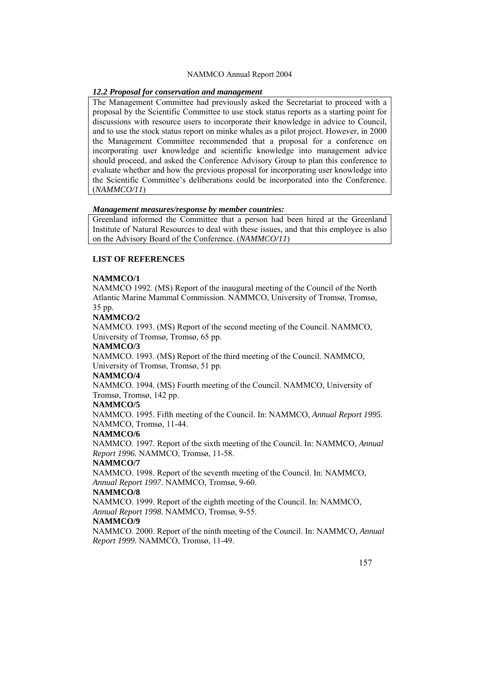#### *12.2 Proposal for conservation and management*

The Management Committee had previously asked the Secretariat to proceed with a proposal by the Scientific Committee to use stock status reports as a starting point for discussions with resource users to incorporate their knowledge in advice to Council, and to use the stock status report on minke whales as a pilot project. However, in 2000 the Management Committee recommended that a proposal for a conference on incorporating user knowledge and scientific knowledge into management advice should proceed, and asked the Conference Advisory Group to plan this conference to evaluate whether and how the previous proposal for incorporating user knowledge into the Scientific Committee's deliberations could be incorporated into the Conference. (*NAMMCO/11*)

#### *Management measures/response by member countries:*

Greenland informed the Committee that a person had been hired at the Greenland Institute of Natural Resources to deal with these issues, and that this employee is also on the Advisory Board of the Conference. (*NAMMCO/11*)

#### **LIST OF REFERENCES**

## **NAMMCO/1**

NAMMCO 1992. (MS) Report of the inaugural meeting of the Council of the North Atlantic Marine Mammal Commission. NAMMCO, University of Tromsø, Tromsø, 35 pp.

#### **NAMMCO/2**

NAMMCO. 1993. (MS) Report of the second meeting of the Council. NAMMCO, University of Tromsø, Tromsø, 65 pp.

#### **NAMMCO/3**

NAMMCO. 1993. (MS) Report of the third meeting of the Council. NAMMCO, University of Tromsø, Tromsø, 51 pp.

#### **NAMMCO/4**

NAMMCO. 1994. (MS) Fourth meeting of the Council. NAMMCO, University of Tromsø, Tromsø, 142 pp.

## **NAMMCO/5**

NAMMCO. 1995. Fifth meeting of the Council. In: NAMMCO, *Annual Report 1995.* NAMMCO, Tromsø, 11-44.

#### **NAMMCO/6**

NAMMCO. 1997. Report of the sixth meeting of the Council. In: NAMMCO, *Annual Report 1996.* NAMMCO, Tromsø, 11-58.

## **NAMMCO/7**

NAMMCO. 1998. Report of the seventh meeting of the Council. In: NAMMCO, *Annual Report 1997.* NAMMCO, Tromsø, 9-60.

#### **NAMMCO/8**

NAMMCO. 1999. Report of the eighth meeting of the Council. In: NAMMCO, *Annual Report 1998.* NAMMCO, Tromsø, 9-55.

## **NAMMCO/9**

NAMMCO. 2000. Report of the ninth meeting of the Council. In: NAMMCO, *Annual Report 1999.* NAMMCO, Tromsø, 11-49.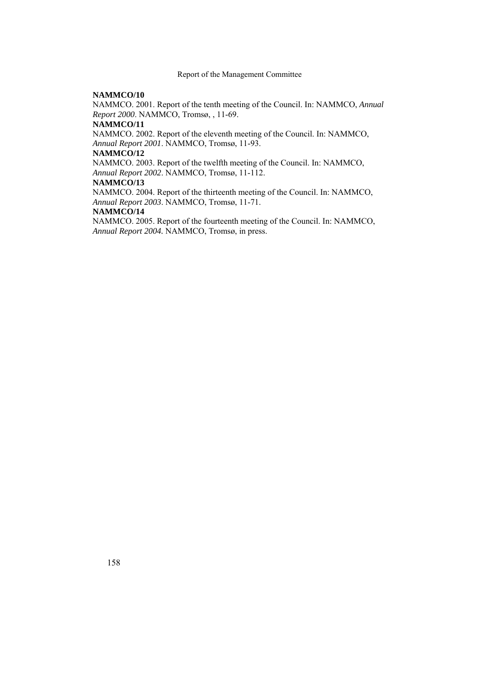#### **NAMMCO/10**

NAMMCO. 2001. Report of the tenth meeting of the Council. In: NAMMCO, *Annual Report 2000*. NAMMCO, Tromsø, , 11-69.

## **NAMMCO/11**

NAMMCO. 2002. Report of the eleventh meeting of the Council. In: NAMMCO, *Annual Report 2001*. NAMMCO, Tromsø, 11-93.

#### **NAMMCO/12**

NAMMCO. 2003. Report of the twelfth meeting of the Council. In: NAMMCO, *Annual Report 2002*. NAMMCO, Tromsø, 11-112.

#### **NAMMCO/13**

NAMMCO. 2004. Report of the thirteenth meeting of the Council. In: NAMMCO, *Annual Report 2003*. NAMMCO, Tromsø, 11-71.

## **NAMMCO/14**

NAMMCO. 2005. Report of the fourteenth meeting of the Council. In: NAMMCO, *Annual Report 2004.* NAMMCO, Tromsø, in press.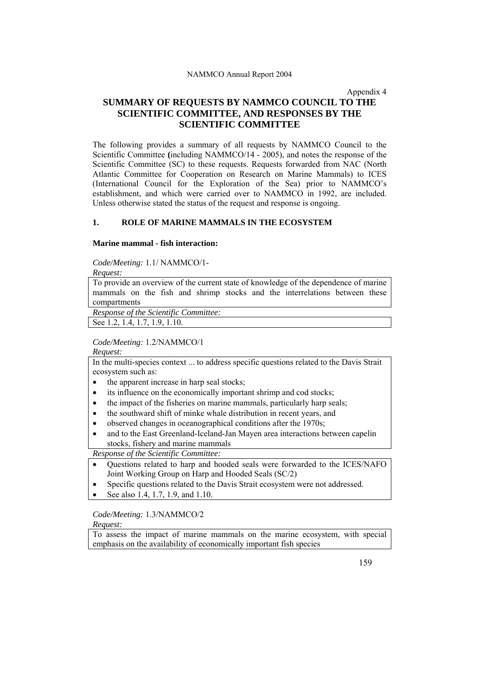Appendix 4

# **SUMMARY OF REQUESTS BY NAMMCO COUNCIL TO THE SCIENTIFIC COMMITTEE, AND RESPONSES BY THE SCIENTIFIC COMMITTEE**

The following provides a summary of all requests by NAMMCO Council to the Scientific Committee **(**including NAMMCO/14 - 2005), and notes the response of the Scientific Committee (SC) to these requests. Requests forwarded from NAC (North Atlantic Committee for Cooperation on Research on Marine Mammals) to ICES (International Council for the Exploration of the Sea) prior to NAMMCO's establishment, and which were carried over to NAMMCO in 1992, are included. Unless otherwise stated the status of the request and response is ongoing.

## **1. ROLE OF MARINE MAMMALS IN THE ECOSYSTEM**

#### **Marine mammal - fish interaction:**

*Code/Meeting:* 1.1/ NAMMCO/1-

*Request:* 

To provide an overview of the current state of knowledge of the dependence of marine mammals on the fish and shrimp stocks and the interrelations between these compartments

*Response of the Scientific Committee:* 

See 1.2, 1.4, 1.7, 1.9, 1.10.

## *Code/Meeting:* 1.2/NAMMCO/1

*Request:* 

In the multi-species context ... to address specific questions related to the Davis Strait ecosystem such as:

- the apparent increase in harp seal stocks:
- its influence on the economically important shrimp and cod stocks;
- the impact of the fisheries on marine mammals, particularly harp seals;
- the southward shift of minke whale distribution in recent years, and
- observed changes in oceanographical conditions after the 1970s;
- and to the East Greenland-Iceland-Jan Mayen area interactions between capelin stocks, fishery and marine mammals

*Response of the Scientific Committee:* 

- Questions related to harp and hooded seals were forwarded to the ICES/NAFO Joint Working Group on Harp and Hooded Seals (SC/2)
- Specific questions related to the Davis Strait ecosystem were not addressed.
- See also 1.4, 1.7, 1.9, and 1.10.

## *Code/Meeting:* 1.3/NAMMCO/2

## *Request:*

To assess the impact of marine mammals on the marine ecosystem, with special emphasis on the availability of economically important fish species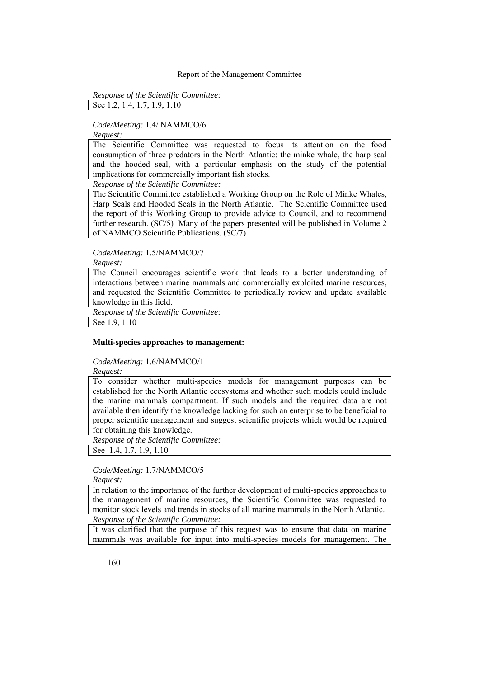*Response of the Scientific Committee:* 

See 1.2, 1.4, 1.7, 1.9, 1.10

## *Code/Meeting:* 1.4/ NAMMCO/6

*Request:* 

The Scientific Committee was requested to focus its attention on the food consumption of three predators in the North Atlantic: the minke whale, the harp seal and the hooded seal, with a particular emphasis on the study of the potential implications for commercially important fish stocks.

*Response of the Scientific Committee:* 

The Scientific Committee established a Working Group on the Role of Minke Whales, Harp Seals and Hooded Seals in the North Atlantic. The Scientific Committee used the report of this Working Group to provide advice to Council, and to recommend further research. (SC/5) Many of the papers presented will be published in Volume 2 of NAMMCO Scientific Publications. (SC/7)

## *Code/Meeting:* 1.5/NAMMCO/7

*Request:* 

The Council encourages scientific work that leads to a better understanding of interactions between marine mammals and commercially exploited marine resources, and requested the Scientific Committee to periodically review and update available knowledge in this field.

*Response of the Scientific Committee:* 

See 1.9, 1.10

## **Multi-species approaches to management:**

*Code/Meeting:* 1.6/NAMMCO/1

*Request:* 

To consider whether multi-species models for management purposes can be established for the North Atlantic ecosystems and whether such models could include the marine mammals compartment. If such models and the required data are not available then identify the knowledge lacking for such an enterprise to be beneficial to proper scientific management and suggest scientific projects which would be required for obtaining this knowledge.

*Response of the Scientific Committee:* 

See 1.4, 1.7, 1.9, 1.10

## *Code/Meeting:* 1.7/NAMMCO/5

*Request:* 

In relation to the importance of the further development of multi-species approaches to the management of marine resources, the Scientific Committee was requested to monitor stock levels and trends in stocks of all marine mammals in the North Atlantic. *Response of the Scientific Committee:* 

It was clarified that the purpose of this request was to ensure that data on marine mammals was available for input into multi-species models for management. The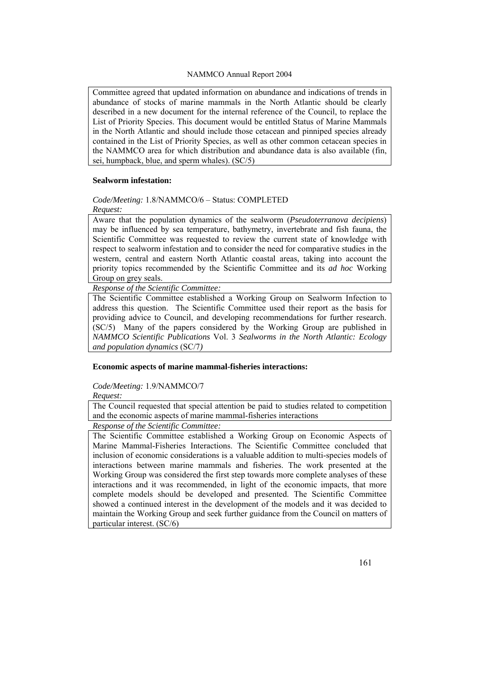Committee agreed that updated information on abundance and indications of trends in abundance of stocks of marine mammals in the North Atlantic should be clearly described in a new document for the internal reference of the Council, to replace the List of Priority Species. This document would be entitled Status of Marine Mammals in the North Atlantic and should include those cetacean and pinniped species already contained in the List of Priority Species, as well as other common cetacean species in the NAMMCO area for which distribution and abundance data is also available (fin, sei, humpback, blue, and sperm whales). (SC/5)

#### **Sealworm infestation:**

*Code/Meeting:* 1.8/NAMMCO/6 – Status: COMPLETED

*Request:* 

Aware that the population dynamics of the sealworm (*Pseudoterranova decipiens*) may be influenced by sea temperature, bathymetry, invertebrate and fish fauna, the Scientific Committee was requested to review the current state of knowledge with respect to sealworm infestation and to consider the need for comparative studies in the western, central and eastern North Atlantic coastal areas, taking into account the priority topics recommended by the Scientific Committee and its *ad hoc* Working Group on grey seals.

*Response of the Scientific Committee:* 

The Scientific Committee established a Working Group on Sealworm Infection to address this question. The Scientific Committee used their report as the basis for providing advice to Council, and developing recommendations for further research. (SC/5) Many of the papers considered by the Working Group are published in *NAMMCO Scientific Publications* Vol. 3 *Sealworms in the North Atlantic: Ecology and population dynamics* (SC/7*)*

**Economic aspects of marine mammal-fisheries interactions:** 

*Code/Meeting:* 1.9/NAMMCO/7

*Request:* 

The Council requested that special attention be paid to studies related to competition and the economic aspects of marine mammal-fisheries interactions

*Response of the Scientific Committee:* 

The Scientific Committee established a Working Group on Economic Aspects of Marine Mammal-Fisheries Interactions. The Scientific Committee concluded that inclusion of economic considerations is a valuable addition to multi-species models of interactions between marine mammals and fisheries. The work presented at the Working Group was considered the first step towards more complete analyses of these interactions and it was recommended, in light of the economic impacts, that more complete models should be developed and presented. The Scientific Committee showed a continued interest in the development of the models and it was decided to maintain the Working Group and seek further guidance from the Council on matters of particular interest. (SC/6)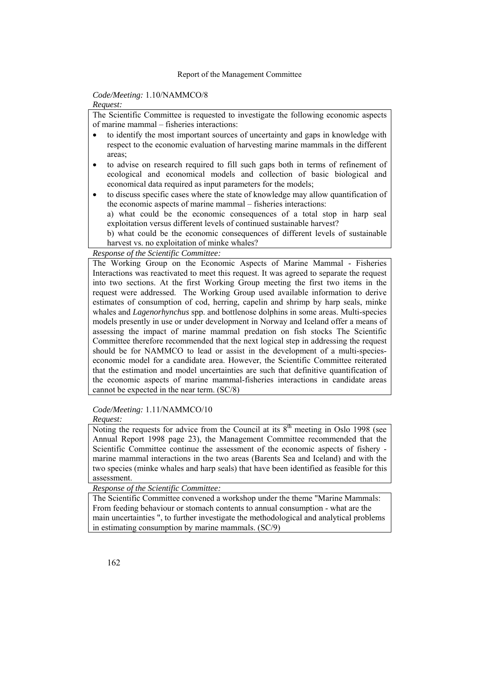## *Code/Meeting:* 1.10/NAMMCO/8

#### *Request:*

The Scientific Committee is requested to investigate the following economic aspects of marine mammal – fisheries interactions:

- to identify the most important sources of uncertainty and gaps in knowledge with respect to the economic evaluation of harvesting marine mammals in the different areas;
- to advise on research required to fill such gaps both in terms of refinement of ecological and economical models and collection of basic biological and economical data required as input parameters for the models;
- to discuss specific cases where the state of knowledge may allow quantification of the economic aspects of marine mammal – fisheries interactions: a) what could be the economic consequences of a total stop in harp seal exploitation versus different levels of continued sustainable harvest? b) what could be the economic consequences of different levels of sustainable harvest vs. no exploitation of minke whales?

*Response of the Scientific Committee:* 

The Working Group on the Economic Aspects of Marine Mammal - Fisheries Interactions was reactivated to meet this request. It was agreed to separate the request into two sections. At the first Working Group meeting the first two items in the request were addressed. The Working Group used available information to derive estimates of consumption of cod, herring, capelin and shrimp by harp seals, minke whales and *Lagenorhynchus* spp. and bottlenose dolphins in some areas. Multi-species models presently in use or under development in Norway and Iceland offer a means of assessing the impact of marine mammal predation on fish stocks The Scientific Committee therefore recommended that the next logical step in addressing the request should be for NAMMCO to lead or assist in the development of a multi-specieseconomic model for a candidate area. However, the Scientific Committee reiterated that the estimation and model uncertainties are such that definitive quantification of the economic aspects of marine mammal-fisheries interactions in candidate areas cannot be expected in the near term. (SC/8)

# *Code/Meeting:* 1.11/NAMMCO/10

*Request:* 

Noting the requests for advice from the Council at its  $8<sup>th</sup>$  meeting in Oslo 1998 (see Annual Report 1998 page 23), the Management Committee recommended that the Scientific Committee continue the assessment of the economic aspects of fishery marine mammal interactions in the two areas (Barents Sea and Iceland) and with the two species (minke whales and harp seals) that have been identified as feasible for this assessment.

*Response of the Scientific Committee:* 

The Scientific Committee convened a workshop under the theme "Marine Mammals: From feeding behaviour or stomach contents to annual consumption - what are the main uncertainties ", to further investigate the methodological and analytical problems in estimating consumption by marine mammals. (SC/9)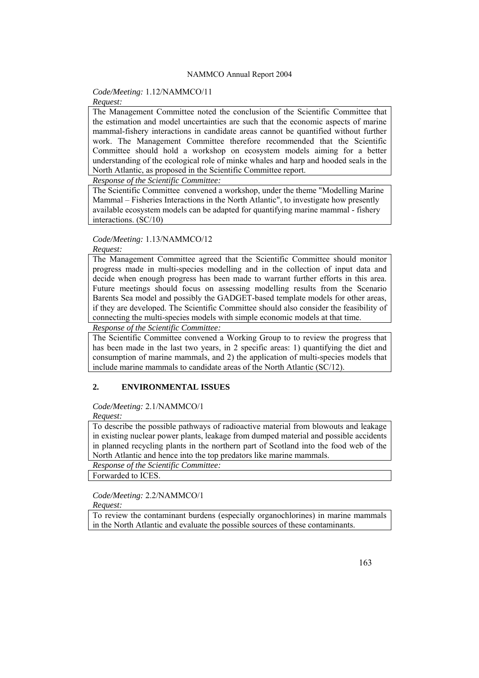## *Code/Meeting:* 1.12/NAMMCO/11

## *Request:*

The Management Committee noted the conclusion of the Scientific Committee that the estimation and model uncertainties are such that the economic aspects of marine mammal-fishery interactions in candidate areas cannot be quantified without further work. The Management Committee therefore recommended that the Scientific Committee should hold a workshop on ecosystem models aiming for a better understanding of the ecological role of minke whales and harp and hooded seals in the North Atlantic, as proposed in the Scientific Committee report.

*Response of the Scientific Committee:* 

The Scientific Committee convened a workshop, under the theme "Modelling Marine Mammal – Fisheries Interactions in the North Atlantic", to investigate how presently available ecosystem models can be adapted for quantifying marine mammal - fishery interactions. (SC/10)

#### *Code/Meeting:* 1.13/NAMMCO/12

#### *Request:*

The Management Committee agreed that the Scientific Committee should monitor progress made in multi-species modelling and in the collection of input data and decide when enough progress has been made to warrant further efforts in this area. Future meetings should focus on assessing modelling results from the Scenario Barents Sea model and possibly the GADGET-based template models for other areas, if they are developed. The Scientific Committee should also consider the feasibility of connecting the multi-species models with simple economic models at that time.

*Response of the Scientific Committee:* 

The Scientific Committee convened a Working Group to to review the progress that has been made in the last two years, in 2 specific areas: 1) quantifying the diet and consumption of marine mammals, and 2) the application of multi-species models that include marine mammals to candidate areas of the North Atlantic (SC/12).

## **2. ENVIRONMENTAL ISSUES**

#### *Code/Meeting:* 2.1/NAMMCO/1

*Request:* 

To describe the possible pathways of radioactive material from blowouts and leakage in existing nuclear power plants, leakage from dumped material and possible accidents in planned recycling plants in the northern part of Scotland into the food web of the North Atlantic and hence into the top predators like marine mammals.

*Response of the Scientific Committee:* 

Forwarded to ICES.

# *Code/Meeting:* 2.2/NAMMCO/1

*Request:* 

To review the contaminant burdens (especially organochlorines) in marine mammals in the North Atlantic and evaluate the possible sources of these contaminants.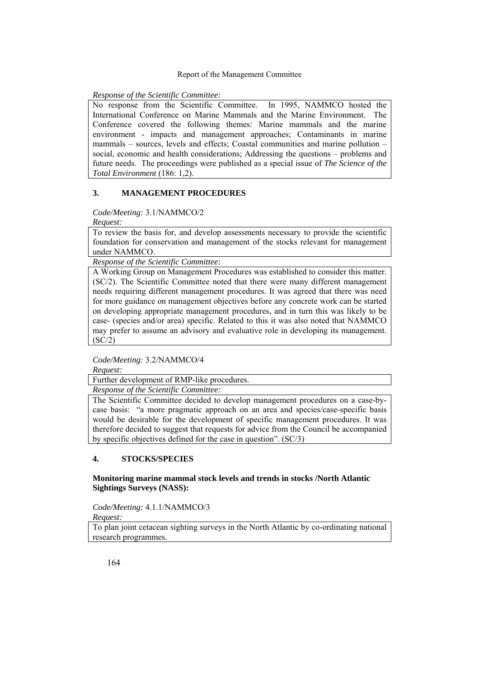#### *Response of the Scientific Committee:*

No response from the Scientific Committee. In 1995, NAMMCO hosted the International Conference on Marine Mammals and the Marine Environment. The Conference covered the following themes: Marine mammals and the marine environment - impacts and management approaches; Contaminants in marine mammals – sources, levels and effects; Coastal communities and marine pollution – social, economic and health considerations; Addressing the questions – problems and future needs. The proceedings were published as a special issue of *The Science of the Total Environment* (186: 1,2).

## **3. MANAGEMENT PROCEDURES**

#### *Code/Meeting:* 3.1/NAMMCO/2

*Request:* 

To review the basis for, and develop assessments necessary to provide the scientific foundation for conservation and management of the stocks relevant for management under NAMMCO.

*Response of the Scientific Committee:* 

A Working Group on Management Procedures was established to consider this matter. (SC/2). The Scientific Committee noted that there were many different management needs requiring different management procedures. It was agreed that there was need for more guidance on management objectives before any concrete work can be started on developing appropriate management procedures, and in turn this was likely to be case- (species and/or area) specific. Related to this it was also noted that NAMMCO may prefer to assume an advisory and evaluative role in developing its management.  $(SC/2)$ 

## *Code/Meeting:* 3.2/NAMMCO/4

*Request:* 

Further development of RMP-like procedures.

*Response of the Scientific Committee:* 

The Scientific Committee decided to develop management procedures on a case-bycase basis: "a more pragmatic approach on an area and species/case-specific basis would be desirable for the development of specific management procedures. It was therefore decided to suggest that requests for advice from the Council be accompanied by specific objectives defined for the case in question". (SC/3)

## **4. STOCKS/SPECIES**

## **Monitoring marine mammal stock levels and trends in stocks /North Atlantic Sightings Surveys (NASS):**

*Code/Meeting:* 4.1.1/NAMMCO/3

*Request:* 

To plan joint cetacean sighting surveys in the North Atlantic by co-ordinating national research programmes.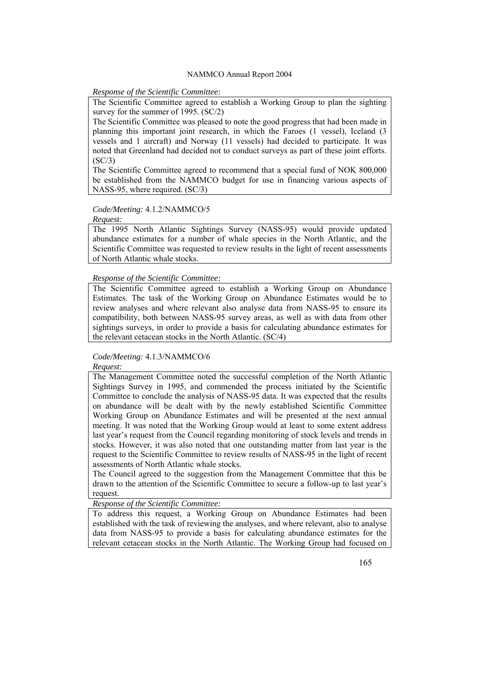#### *Response of the Scientific Committee:*

The Scientific Committee agreed to establish a Working Group to plan the sighting survey for the summer of 1995. (SC/2)

The Scientific Committee was pleased to note the good progress that had been made in planning this important joint research, in which the Faroes (1 vessel), Iceland (3 vessels and 1 aircraft) and Norway (11 vessels) had decided to participate. It was noted that Greenland had decided not to conduct surveys as part of these joint efforts.  $(SC/3)$ 

The Scientific Committee agreed to recommend that a special fund of NOK 800,000 be established from the NAMMCO budget for use in financing various aspects of NASS-95, where required. (SC/3)

## *Code/Meeting:* 4.1.2/NAMMCO/5

*Request:* 

The 1995 North Atlantic Sightings Survey (NASS-95) would provide updated abundance estimates for a number of whale species in the North Atlantic, and the Scientific Committee was requested to review results in the light of recent assessments of North Atlantic whale stocks.

## *Response of the Scientific Committee:*

The Scientific Committee agreed to establish a Working Group on Abundance Estimates. The task of the Working Group on Abundance Estimates would be to review analyses and where relevant also analyse data from NASS-95 to ensure its compatibility, both between NASS-95 survey areas, as well as with data from other sightings surveys, in order to provide a basis for calculating abundance estimates for the relevant cetacean stocks in the North Atlantic. (SC/4)

## *Code/Meeting:* 4.1.3/NAMMCO/6

*Request:* 

The Management Committee noted the successful completion of the North Atlantic Sightings Survey in 1995, and commended the process initiated by the Scientific Committee to conclude the analysis of NASS-95 data. It was expected that the results on abundance will be dealt with by the newly established Scientific Committee Working Group on Abundance Estimates and will be presented at the next annual meeting. It was noted that the Working Group would at least to some extent address last year's request from the Council regarding monitoring of stock levels and trends in stocks. However, it was also noted that one outstanding matter from last year is the request to the Scientific Committee to review results of NASS-95 in the light of recent assessments of North Atlantic whale stocks.

The Council agreed to the suggestion from the Management Committee that this be drawn to the attention of the Scientific Committee to secure a follow-up to last year's request.

*Response of the Scientific Committee:* 

To address this request, a Working Group on Abundance Estimates had been established with the task of reviewing the analyses, and where relevant, also to analyse data from NASS-95 to provide a basis for calculating abundance estimates for the relevant cetacean stocks in the North Atlantic. The Working Group had focused on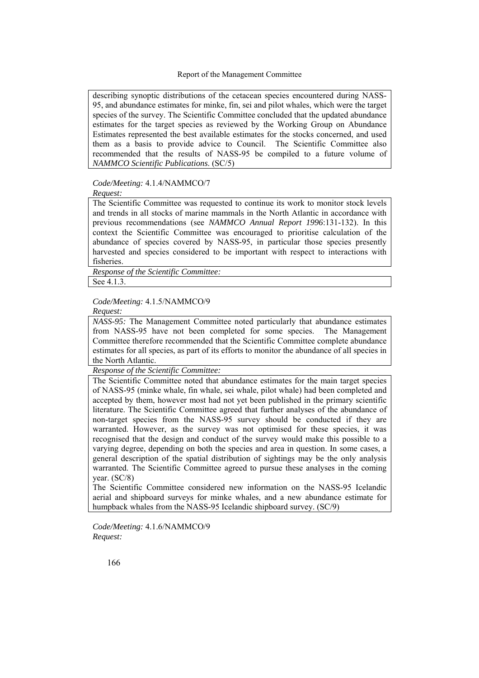describing synoptic distributions of the cetacean species encountered during NASS-95, and abundance estimates for minke, fin, sei and pilot whales, which were the target species of the survey. The Scientific Committee concluded that the updated abundance estimates for the target species as reviewed by the Working Group on Abundance Estimates represented the best available estimates for the stocks concerned, and used them as a basis to provide advice to Council. The Scientific Committee also recommended that the results of NASS-95 be compiled to a future volume of *NAMMCO Scientific Publications*. (SC/5)

## *Code/Meeting:* 4.1.4/NAMMCO/7

*Request:* 

The Scientific Committee was requested to continue its work to monitor stock levels and trends in all stocks of marine mammals in the North Atlantic in accordance with previous recommendations (see *NAMMCO Annual Report 1996*:131-132). In this context the Scientific Committee was encouraged to prioritise calculation of the abundance of species covered by NASS-95, in particular those species presently harvested and species considered to be important with respect to interactions with fisheries.

*Response of the Scientific Committee:* 

See 4.1.3.

*Code/Meeting:* 4.1.5/NAMMCO/9

*Request:* 

*NASS-95:* The Management Committee noted particularly that abundance estimates from NASS-95 have not been completed for some species. The Management Committee therefore recommended that the Scientific Committee complete abundance estimates for all species, as part of its efforts to monitor the abundance of all species in the North Atlantic.

*Response of the Scientific Committee:* 

The Scientific Committee noted that abundance estimates for the main target species of NASS-95 (minke whale, fin whale, sei whale, pilot whale) had been completed and accepted by them, however most had not yet been published in the primary scientific literature. The Scientific Committee agreed that further analyses of the abundance of non-target species from the NASS-95 survey should be conducted if they are warranted. However, as the survey was not optimised for these species, it was recognised that the design and conduct of the survey would make this possible to a varying degree, depending on both the species and area in question. In some cases, a general description of the spatial distribution of sightings may be the only analysis warranted. The Scientific Committee agreed to pursue these analyses in the coming year. (SC/8)

The Scientific Committee considered new information on the NASS-95 Icelandic aerial and shipboard surveys for minke whales, and a new abundance estimate for humpback whales from the NASS-95 Icelandic shipboard survey. (SC/9)

*Code/Meeting:* 4.1.6/NAMMCO/9 *Request:*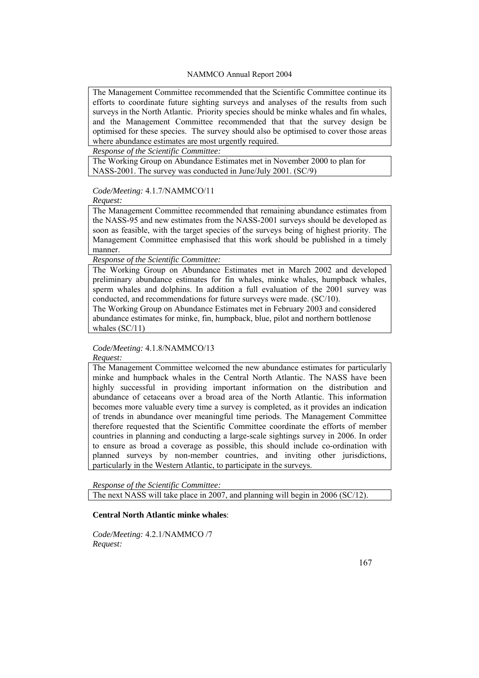The Management Committee recommended that the Scientific Committee continue its efforts to coordinate future sighting surveys and analyses of the results from such surveys in the North Atlantic. Priority species should be minke whales and fin whales, and the Management Committee recommended that that the survey design be optimised for these species. The survey should also be optimised to cover those areas where abundance estimates are most urgently required.

*Response of the Scientific Committee:* 

The Working Group on Abundance Estimates met in November 2000 to plan for NASS-2001. The survey was conducted in June/July 2001. (SC/9)

*Code/Meeting:* 4.1.7/NAMMCO/11

*Request:* 

The Management Committee recommended that remaining abundance estimates from the NASS-95 and new estimates from the NASS-2001 surveys should be developed as soon as feasible, with the target species of the surveys being of highest priority. The Management Committee emphasised that this work should be published in a timely manner.

*Response of the Scientific Committee:* 

The Working Group on Abundance Estimates met in March 2002 and developed preliminary abundance estimates for fin whales, minke whales, humpback whales, sperm whales and dolphins. In addition a full evaluation of the 2001 survey was conducted, and recommendations for future surveys were made. (SC/10).

The Working Group on Abundance Estimates met in February 2003 and considered abundance estimates for minke, fin, humpback, blue, pilot and northern bottlenose whales (SC/11)

*Code/Meeting:* 4.1.8/NAMMCO/13

*Request:* 

The Management Committee welcomed the new abundance estimates for particularly minke and humpback whales in the Central North Atlantic. The NASS have been highly successful in providing important information on the distribution and abundance of cetaceans over a broad area of the North Atlantic. This information becomes more valuable every time a survey is completed, as it provides an indication of trends in abundance over meaningful time periods. The Management Committee therefore requested that the Scientific Committee coordinate the efforts of member countries in planning and conducting a large-scale sightings survey in 2006. In order to ensure as broad a coverage as possible, this should include co-ordination with planned surveys by non-member countries, and inviting other jurisdictions, particularly in the Western Atlantic, to participate in the surveys.

*Response of the Scientific Committee:*  The next NASS will take place in 2007, and planning will begin in 2006 (SC/12).

#### **Central North Atlantic minke whales**:

*Code/Meeting:* 4.2.1/NAMMCO /7 *Request:*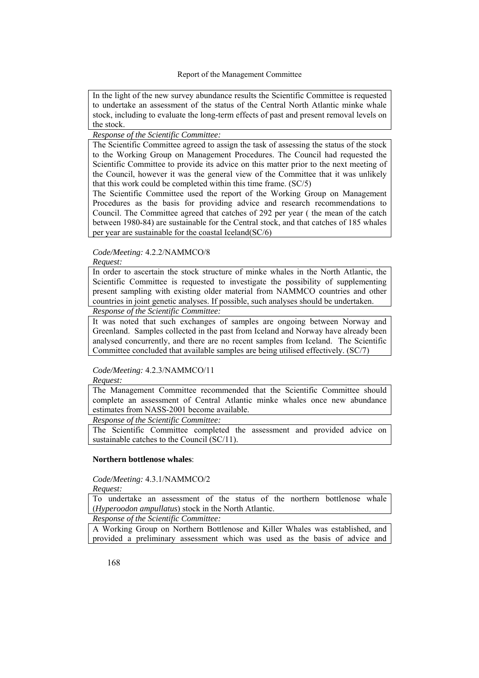In the light of the new survey abundance results the Scientific Committee is requested to undertake an assessment of the status of the Central North Atlantic minke whale stock, including to evaluate the long-term effects of past and present removal levels on the stock.

## *Response of the Scientific Committee:*

The Scientific Committee agreed to assign the task of assessing the status of the stock to the Working Group on Management Procedures. The Council had requested the Scientific Committee to provide its advice on this matter prior to the next meeting of the Council, however it was the general view of the Committee that it was unlikely that this work could be completed within this time frame. (SC/5)

The Scientific Committee used the report of the Working Group on Management Procedures as the basis for providing advice and research recommendations to Council. The Committee agreed that catches of 292 per year ( the mean of the catch between 1980-84) are sustainable for the Central stock, and that catches of 185 whales per year are sustainable for the coastal Iceland(SC/6)

# *Code/Meeting:* 4.2.2/NAMMCO/8

*Request:* 

In order to ascertain the stock structure of minke whales in the North Atlantic, the Scientific Committee is requested to investigate the possibility of supplementing present sampling with existing older material from NAMMCO countries and other countries in joint genetic analyses. If possible, such analyses should be undertaken.

## *Response of the Scientific Committee:*

It was noted that such exchanges of samples are ongoing between Norway and Greenland. Samples collected in the past from Iceland and Norway have already been analysed concurrently, and there are no recent samples from Iceland. The Scientific Committee concluded that available samples are being utilised effectively. (SC/7)

## *Code/Meeting:* 4.2.3/NAMMCO/11

*Request:* 

The Management Committee recommended that the Scientific Committee should complete an assessment of Central Atlantic minke whales once new abundance estimates from NASS-2001 become available.

*Response of the Scientific Committee:* 

The Scientific Committee completed the assessment and provided advice on sustainable catches to the Council (SC/11).

#### **Northern bottlenose whales**:

*Code/Meeting:* 4.3.1/NAMMCO/2

*Request:* 

To undertake an assessment of the status of the northern bottlenose whale (*Hyperoodon ampullatus*) stock in the North Atlantic.

*Response of the Scientific Committee:* 

A Working Group on Northern Bottlenose and Killer Whales was established, and provided a preliminary assessment which was used as the basis of advice and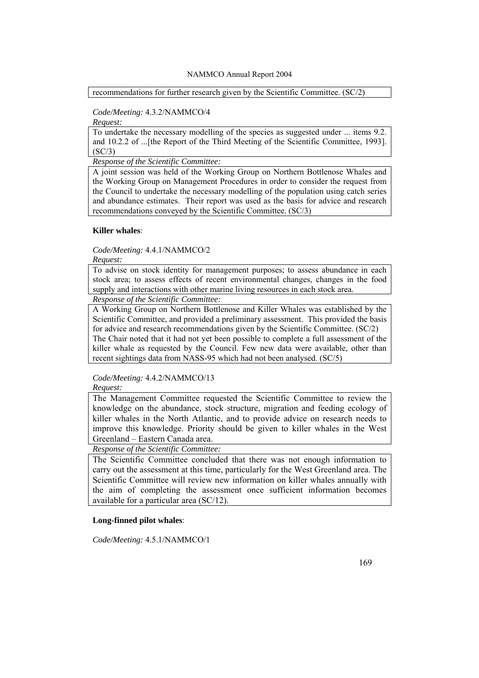recommendations for further research given by the Scientific Committee. (SC/2)

## *Code/Meeting:* 4.3.2/NAMMCO/4

*Request:* 

To undertake the necessary modelling of the species as suggested under ... items 9.2. and 10.2.2 of ...[the Report of the Third Meeting of the Scientific Committee, 1993].  $(SC/3)$ 

*Response of the Scientific Committee:* 

A joint session was held of the Working Group on Northern Bottlenose Whales and the Working Group on Management Procedures in order to consider the request from the Council to undertake the necessary modelling of the population using catch series and abundance estimates. Their report was used as the basis for advice and research recommendations conveyed by the Scientific Committee. (SC/3)

## **Killer whales**:

*Code/Meeting:* 4.4.1/NAMMCO/2

*Request:* 

To advise on stock identity for management purposes; to assess abundance in each stock area; to assess effects of recent environmental changes, changes in the food supply and interactions with other marine living resources in each stock area.

*Response of the Scientific Committee:* 

A Working Group on Northern Bottlenose and Killer Whales was established by the Scientific Committee, and provided a preliminary assessment. This provided the basis for advice and research recommendations given by the Scientific Committee. (SC/2) The Chair noted that it had not yet been possible to complete a full assessment of the killer whale as requested by the Council. Few new data were available, other than recent sightings data from NASS-95 which had not been analysed. (SC/5)

*Code/Meeting:* 4.4.2/NAMMCO/13

*Request:* 

The Management Committee requested the Scientific Committee to review the knowledge on the abundance, stock structure, migration and feeding ecology of killer whales in the North Atlantic, and to provide advice on research needs to improve this knowledge. Priority should be given to killer whales in the West Greenland – Eastern Canada area.

*Response of the Scientific Committee:* 

The Scientific Committee concluded that there was not enough information to carry out the assessment at this time, particularly for the West Greenland area. The Scientific Committee will review new information on killer whales annually with the aim of completing the assessment once sufficient information becomes available for a particular area (SC/12).

## **Long-finned pilot whales**:

*Code/Meeting:* 4.5.1/NAMMCO/1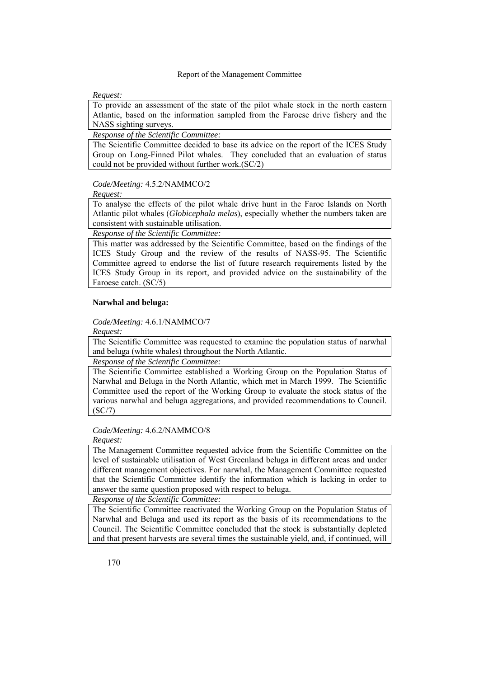*Request:* 

To provide an assessment of the state of the pilot whale stock in the north eastern Atlantic, based on the information sampled from the Faroese drive fishery and the NASS sighting surveys.

*Response of the Scientific Committee:* 

The Scientific Committee decided to base its advice on the report of the ICES Study Group on Long-Finned Pilot whales. They concluded that an evaluation of status could not be provided without further work.(SC/2)

*Code/Meeting:* 4.5.2/NAMMCO/2

*Request:* 

To analyse the effects of the pilot whale drive hunt in the Faroe Islands on North Atlantic pilot whales (*Globicephala melas*), especially whether the numbers taken are consistent with sustainable utilisation.

*Response of the Scientific Committee:* 

This matter was addressed by the Scientific Committee, based on the findings of the ICES Study Group and the review of the results of NASS-95. The Scientific Committee agreed to endorse the list of future research requirements listed by the ICES Study Group in its report, and provided advice on the sustainability of the Faroese catch. (SC/5)

## **Narwhal and beluga:**

*Code/Meeting:* 4.6.1/NAMMCO/7

*Request:* 

The Scientific Committee was requested to examine the population status of narwhal and beluga (white whales) throughout the North Atlantic.

*Response of the Scientific Committee:* 

The Scientific Committee established a Working Group on the Population Status of Narwhal and Beluga in the North Atlantic, which met in March 1999. The Scientific Committee used the report of the Working Group to evaluate the stock status of the various narwhal and beluga aggregations, and provided recommendations to Council. (SC/7)

## *Code/Meeting:* 4.6.2/NAMMCO/8

*Request:* 

The Management Committee requested advice from the Scientific Committee on the level of sustainable utilisation of West Greenland beluga in different areas and under different management objectives. For narwhal, the Management Committee requested that the Scientific Committee identify the information which is lacking in order to answer the same question proposed with respect to beluga.

*Response of the Scientific Committee:* 

The Scientific Committee reactivated the Working Group on the Population Status of Narwhal and Beluga and used its report as the basis of its recommendations to the Council. The Scientific Committee concluded that the stock is substantially depleted and that present harvests are several times the sustainable yield, and, if continued, will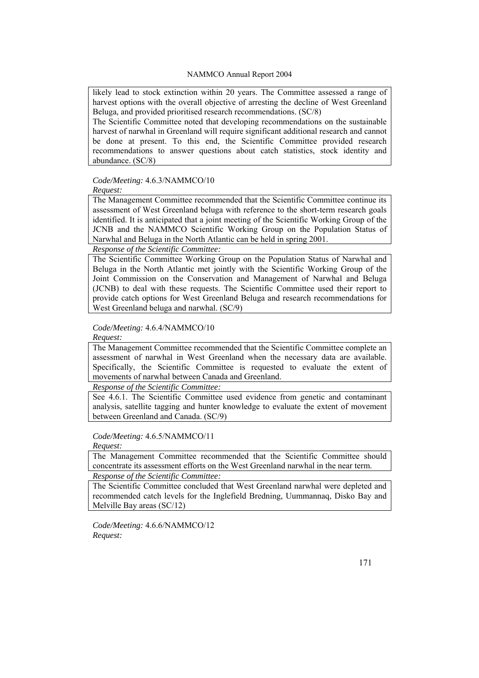likely lead to stock extinction within 20 years. The Committee assessed a range of harvest options with the overall objective of arresting the decline of West Greenland Beluga, and provided prioritised research recommendations. (SC/8)

The Scientific Committee noted that developing recommendations on the sustainable harvest of narwhal in Greenland will require significant additional research and cannot be done at present. To this end, the Scientific Committee provided research recommendations to answer questions about catch statistics, stock identity and abundance. (SC/8)

*Code/Meeting:* 4.6.3/NAMMCO/10

*Request:* 

The Management Committee recommended that the Scientific Committee continue its assessment of West Greenland beluga with reference to the short-term research goals identified. It is anticipated that a joint meeting of the Scientific Working Group of the JCNB and the NAMMCO Scientific Working Group on the Population Status of Narwhal and Beluga in the North Atlantic can be held in spring 2001.

*Response of the Scientific Committee:* 

The Scientific Committee Working Group on the Population Status of Narwhal and Beluga in the North Atlantic met jointly with the Scientific Working Group of the Joint Commission on the Conservation and Management of Narwhal and Beluga (JCNB) to deal with these requests. The Scientific Committee used their report to provide catch options for West Greenland Beluga and research recommendations for West Greenland beluga and narwhal. (SC/9)

*Code/Meeting:* 4.6.4/NAMMCO/10

*Request:* 

The Management Committee recommended that the Scientific Committee complete an assessment of narwhal in West Greenland when the necessary data are available. Specifically, the Scientific Committee is requested to evaluate the extent of movements of narwhal between Canada and Greenland.

*Response of the Scientific Committee:* 

See 4.6.1. The Scientific Committee used evidence from genetic and contaminant analysis, satellite tagging and hunter knowledge to evaluate the extent of movement between Greenland and Canada. (SC/9)

*Code/Meeting:* 4.6.5/NAMMCO/11

*Request:* 

The Management Committee recommended that the Scientific Committee should concentrate its assessment efforts on the West Greenland narwhal in the near term. *Response of the Scientific Committee:* 

The Scientific Committee concluded that West Greenland narwhal were depleted and recommended catch levels for the Inglefield Bredning, Uummannaq, Disko Bay and Melville Bay areas (SC/12)

*Code/Meeting:* 4.6.6/NAMMCO/12 *Request:*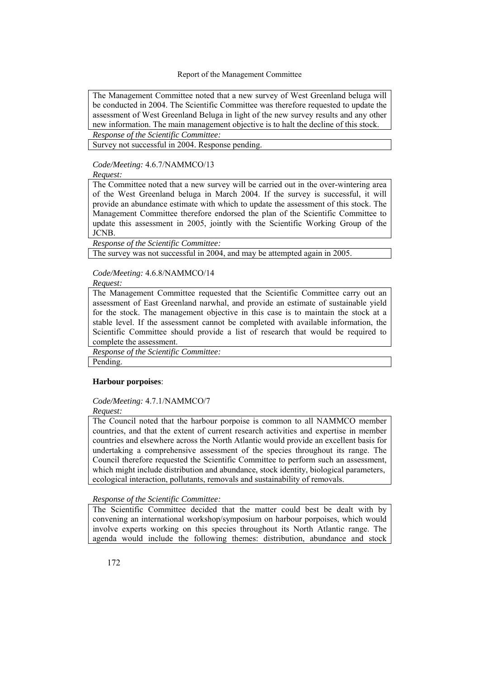The Management Committee noted that a new survey of West Greenland beluga will be conducted in 2004. The Scientific Committee was therefore requested to update the assessment of West Greenland Beluga in light of the new survey results and any other new information. The main management objective is to halt the decline of this stock.

*Response of the Scientific Committee:* 

Survey not successful in 2004. Response pending.

*Code/Meeting:* 4.6.7/NAMMCO/13

*Request:* 

The Committee noted that a new survey will be carried out in the over-wintering area of the West Greenland beluga in March 2004. If the survey is successful, it will provide an abundance estimate with which to update the assessment of this stock. The Management Committee therefore endorsed the plan of the Scientific Committee to update this assessment in 2005, jointly with the Scientific Working Group of the JCNB.

*Response of the Scientific Committee:* 

The survey was not successful in 2004, and may be attempted again in 2005.

*Code/Meeting:* 4.6.8/NAMMCO/14

*Request:* 

The Management Committee requested that the Scientific Committee carry out an assessment of East Greenland narwhal, and provide an estimate of sustainable yield for the stock. The management objective in this case is to maintain the stock at a stable level. If the assessment cannot be completed with available information, the Scientific Committee should provide a list of research that would be required to complete the assessment.

*Response of the Scientific Committee:* 

Pending.

## **Harbour porpoises**:

*Code/Meeting:* 4.7.1/NAMMCO/7

*Request:* 

The Council noted that the harbour porpoise is common to all NAMMCO member countries, and that the extent of current research activities and expertise in member countries and elsewhere across the North Atlantic would provide an excellent basis for undertaking a comprehensive assessment of the species throughout its range. The Council therefore requested the Scientific Committee to perform such an assessment, which might include distribution and abundance, stock identity, biological parameters, ecological interaction, pollutants, removals and sustainability of removals.

*Response of the Scientific Committee:* 

The Scientific Committee decided that the matter could best be dealt with by convening an international workshop/symposium on harbour porpoises, which would involve experts working on this species throughout its North Atlantic range. The agenda would include the following themes: distribution, abundance and stock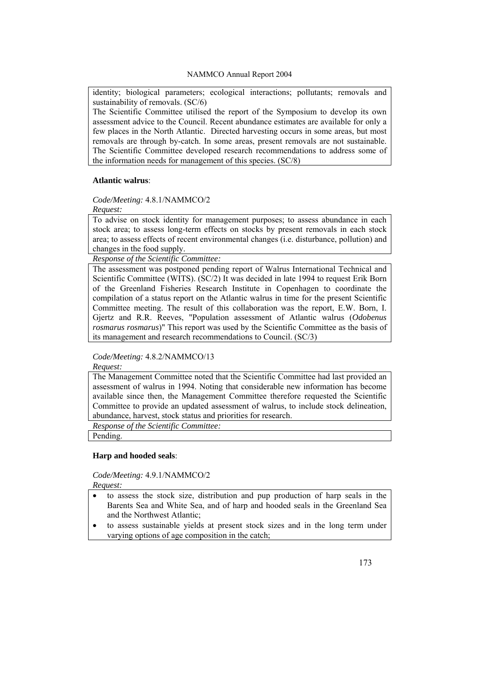identity; biological parameters; ecological interactions; pollutants; removals and sustainability of removals. (SC/6)

The Scientific Committee utilised the report of the Symposium to develop its own assessment advice to the Council. Recent abundance estimates are available for only a few places in the North Atlantic. Directed harvesting occurs in some areas, but most removals are through by-catch. In some areas, present removals are not sustainable. The Scientific Committee developed research recommendations to address some of the information needs for management of this species. (SC/8)

## **Atlantic walrus**:

## *Code/Meeting:* 4.8.1/NAMMCO/2

*Request:* 

To advise on stock identity for management purposes; to assess abundance in each stock area; to assess long-term effects on stocks by present removals in each stock area; to assess effects of recent environmental changes (i.e. disturbance, pollution) and changes in the food supply.

*Response of the Scientific Committee:* 

The assessment was postponed pending report of Walrus International Technical and Scientific Committee (WITS). (SC/2) It was decided in late 1994 to request Erik Born of the Greenland Fisheries Research Institute in Copenhagen to coordinate the compilation of a status report on the Atlantic walrus in time for the present Scientific Committee meeting. The result of this collaboration was the report, E.W. Born, I. Gjertz and R.R. Reeves, "Population assessment of Atlantic walrus (*Odobenus rosmarus rosmarus*)" This report was used by the Scientific Committee as the basis of its management and research recommendations to Council. (SC/3)

## *Code/Meeting:* 4.8.2/NAMMCO/13

*Request:* 

The Management Committee noted that the Scientific Committee had last provided an assessment of walrus in 1994. Noting that considerable new information has become available since then, the Management Committee therefore requested the Scientific Committee to provide an updated assessment of walrus, to include stock delineation, abundance, harvest, stock status and priorities for research.

*Response of the Scientific Committee:* 

Pending.

## **Harp and hooded seals**:

*Code/Meeting:* 4.9.1/NAMMCO/2

*Request:* 

- to assess the stock size, distribution and pup production of harp seals in the Barents Sea and White Sea, and of harp and hooded seals in the Greenland Sea and the Northwest Atlantic;
- to assess sustainable yields at present stock sizes and in the long term under varying options of age composition in the catch;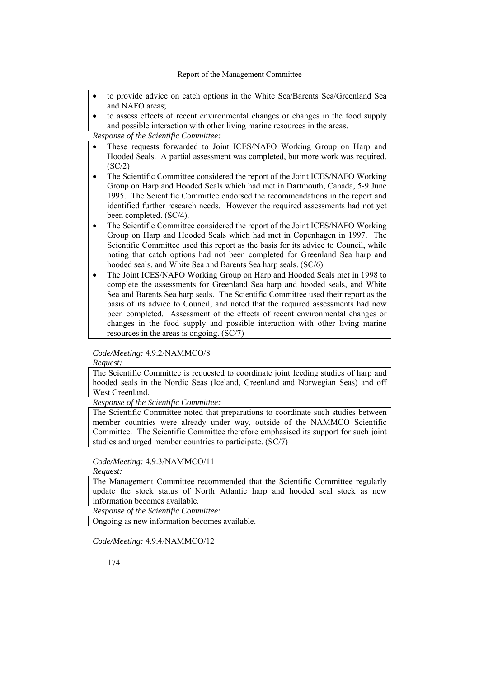- to provide advice on catch options in the White Sea/Barents Sea/Greenland Sea and NAFO areas;
- to assess effects of recent environmental changes or changes in the food supply and possible interaction with other living marine resources in the areas.

*Response of the Scientific Committee:* 

- These requests forwarded to Joint ICES/NAFO Working Group on Harp and Hooded Seals. A partial assessment was completed, but more work was required. (SC/2)
- The Scientific Committee considered the report of the Joint ICES/NAFO Working Group on Harp and Hooded Seals which had met in Dartmouth, Canada, 5-9 June 1995. The Scientific Committee endorsed the recommendations in the report and identified further research needs. However the required assessments had not yet been completed. (SC/4).
- The Scientific Committee considered the report of the Joint ICES/NAFO Working Group on Harp and Hooded Seals which had met in Copenhagen in 1997. The Scientific Committee used this report as the basis for its advice to Council, while noting that catch options had not been completed for Greenland Sea harp and hooded seals, and White Sea and Barents Sea harp seals. (SC/6)
- The Joint ICES/NAFO Working Group on Harp and Hooded Seals met in 1998 to complete the assessments for Greenland Sea harp and hooded seals, and White Sea and Barents Sea harp seals. The Scientific Committee used their report as the basis of its advice to Council, and noted that the required assessments had now been completed. Assessment of the effects of recent environmental changes or changes in the food supply and possible interaction with other living marine resources in the areas is ongoing. (SC/7)

*Code/Meeting:* 4.9.2/NAMMCO/8

*Request:* 

The Scientific Committee is requested to coordinate joint feeding studies of harp and hooded seals in the Nordic Seas (Iceland, Greenland and Norwegian Seas) and off West Greenland.

*Response of the Scientific Committee:* 

The Scientific Committee noted that preparations to coordinate such studies between member countries were already under way, outside of the NAMMCO Scientific Committee. The Scientific Committee therefore emphasised its support for such joint studies and urged member countries to participate. (SC/7)

## *Code/Meeting:* 4.9.3/NAMMCO/11

*Request:* 

The Management Committee recommended that the Scientific Committee regularly update the stock status of North Atlantic harp and hooded seal stock as new information becomes available.

*Response of the Scientific Committee:* 

Ongoing as new information becomes available.

*Code/Meeting:* 4.9.4/NAMMCO/12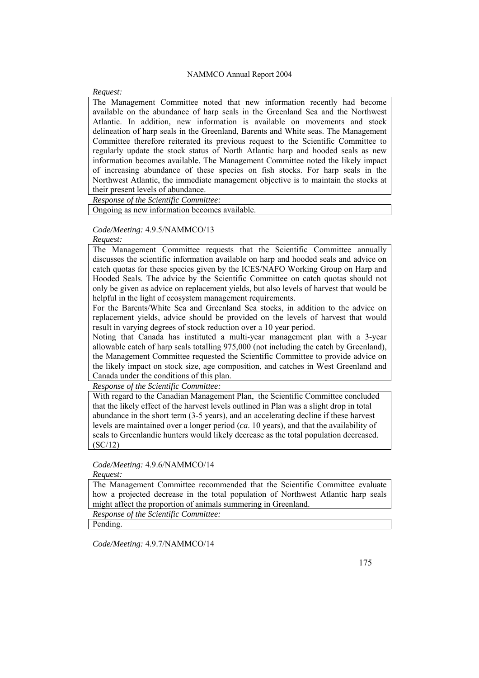#### *Request:*

The Management Committee noted that new information recently had become available on the abundance of harp seals in the Greenland Sea and the Northwest Atlantic. In addition, new information is available on movements and stock delineation of harp seals in the Greenland, Barents and White seas. The Management Committee therefore reiterated its previous request to the Scientific Committee to regularly update the stock status of North Atlantic harp and hooded seals as new information becomes available. The Management Committee noted the likely impact of increasing abundance of these species on fish stocks. For harp seals in the Northwest Atlantic, the immediate management objective is to maintain the stocks at their present levels of abundance.

*Response of the Scientific Committee:* 

Ongoing as new information becomes available.

## *Code/Meeting:* 4.9.5/NAMMCO/13

*Request:* 

The Management Committee requests that the Scientific Committee annually discusses the scientific information available on harp and hooded seals and advice on catch quotas for these species given by the ICES/NAFO Working Group on Harp and Hooded Seals. The advice by the Scientific Committee on catch quotas should not only be given as advice on replacement yields, but also levels of harvest that would be helpful in the light of ecosystem management requirements.

For the Barents/White Sea and Greenland Sea stocks, in addition to the advice on replacement yields, advice should be provided on the levels of harvest that would result in varying degrees of stock reduction over a 10 year period.

Noting that Canada has instituted a multi-year management plan with a 3-year allowable catch of harp seals totalling 975,000 (not including the catch by Greenland), the Management Committee requested the Scientific Committee to provide advice on the likely impact on stock size, age composition, and catches in West Greenland and Canada under the conditions of this plan.

*Response of the Scientific Committee:* 

With regard to the Canadian Management Plan, the Scientific Committee concluded that the likely effect of the harvest levels outlined in Plan was a slight drop in total abundance in the short term (3-5 years), and an accelerating decline if these harvest levels are maintained over a longer period (*ca*. 10 years), and that the availability of seals to Greenlandic hunters would likely decrease as the total population decreased. (SC/12)

## *Code/Meeting:* 4.9.6/NAMMCO/14

#### *Request:*

The Management Committee recommended that the Scientific Committee evaluate how a projected decrease in the total population of Northwest Atlantic harp seals might affect the proportion of animals summering in Greenland.

*Response of the Scientific Committee:* 

Pending.

*Code/Meeting:* 4.9.7/NAMMCO/14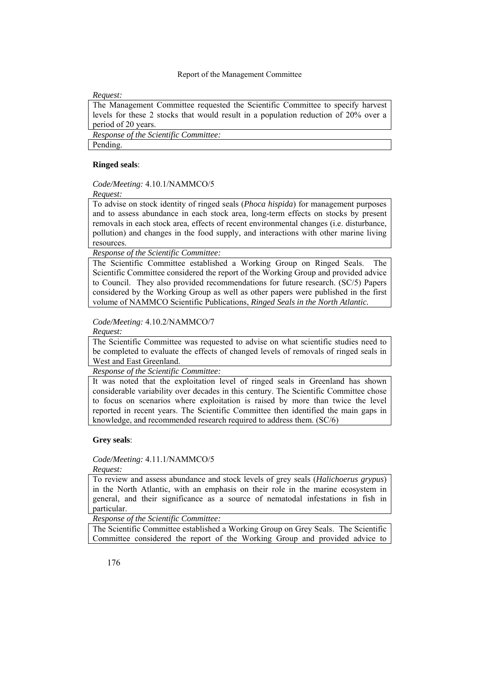## *Request:*

The Management Committee requested the Scientific Committee to specify harvest levels for these 2 stocks that would result in a population reduction of 20% over a period of 20 years.

*Response of the Scientific Committee:* 

Pending.

## **Ringed seals**:

## *Code/Meeting:* 4.10.1/NAMMCO/5

*Request:* 

To advise on stock identity of ringed seals (*Phoca hispida*) for management purposes and to assess abundance in each stock area, long-term effects on stocks by present removals in each stock area, effects of recent environmental changes (i.e. disturbance, pollution) and changes in the food supply, and interactions with other marine living resources.

*Response of the Scientific Committee:* 

The Scientific Committee established a Working Group on Ringed Seals. The Scientific Committee considered the report of the Working Group and provided advice to Council. They also provided recommendations for future research. (SC/5) Papers considered by the Working Group as well as other papers were published in the first volume of NAMMCO Scientific Publications, *Ringed Seals in the North Atlantic.*

*Code/Meeting:* 4.10.2/NAMMCO/7

## *Request:*

The Scientific Committee was requested to advise on what scientific studies need to be completed to evaluate the effects of changed levels of removals of ringed seals in West and East Greenland.

*Response of the Scientific Committee:* 

It was noted that the exploitation level of ringed seals in Greenland has shown considerable variability over decades in this century. The Scientific Committee chose to focus on scenarios where exploitation is raised by more than twice the level reported in recent years. The Scientific Committee then identified the main gaps in knowledge, and recommended research required to address them. (SC/6)

## **Grey seals**:

## *Code/Meeting:* 4.11.1/NAMMCO/5

*Request:* 

To review and assess abundance and stock levels of grey seals (*Halichoerus grypus*) in the North Atlantic, with an emphasis on their role in the marine ecosystem in general, and their significance as a source of nematodal infestations in fish in particular.

*Response of the Scientific Committee:* 

The Scientific Committee established a Working Group on Grey Seals. The Scientific Committee considered the report of the Working Group and provided advice to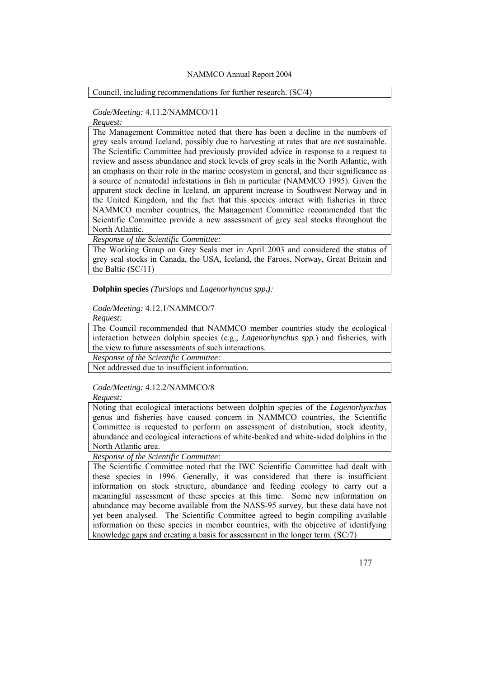Council, including recommendations for further research. (SC/4)

## *Code/Meeting:* 4.11.2/NAMMCO/11

*Request:* 

The Management Committee noted that there has been a decline in the numbers of grey seals around Iceland, possibly due to harvesting at rates that are not sustainable. The Scientific Committee had previously provided advice in response to a request to review and assess abundance and stock levels of grey seals in the North Atlantic, with an emphasis on their role in the marine ecosystem in general, and their significance as a source of nematodal infestations in fish in particular (NAMMCO 1995). Given the apparent stock decline in Iceland, an apparent increase in Southwest Norway and in the United Kingdom, and the fact that this species interact with fisheries in three NAMMCO member countries, the Management Committee recommended that the Scientific Committee provide a new assessment of grey seal stocks throughout the North Atlantic.

*Response of the Scientific Committee:* 

The Working Group on Grey Seals met in April 2003 and considered the status of grey seal stocks in Canada, the USA, Iceland, the Faroes, Norway, Great Britain and the Baltic (SC/11)

**Dolphin species** *(Tursiops* and *Lagenorhyncus spp.):*

## *Code/Meeting:* 4.12.1/NAMMCO/7

*Request:* 

The Council recommended that NAMMCO member countries study the ecological interaction between dolphin species (e.g., *Lagenorhynchus spp.*) and fisheries, with the view to future assessments of such interactions.

*Response of the Scientific Committee:* 

Not addressed due to insufficient information.

## *Code/Meeting:* 4.12.2/NAMMCO/8

*Request:* 

Noting that ecological interactions between dolphin species of the *Lagenorhynchus*  genus and fisheries have caused concern in NAMMCO countries, the Scientific Committee is requested to perform an assessment of distribution, stock identity, abundance and ecological interactions of white-beaked and white-sided dolphins in the North Atlantic area.

*Response of the Scientific Committee:* 

The Scientific Committee noted that the IWC Scientific Committee had dealt with these species in 1996. Generally, it was considered that there is insufficient information on stock structure, abundance and feeding ecology to carry out a meaningful assessment of these species at this time. Some new information on abundance may become available from the NASS-95 survey, but these data have not yet been analysed. The Scientific Committee agreed to begin compiling available information on these species in member countries, with the objective of identifying knowledge gaps and creating a basis for assessment in the longer term. (SC/7)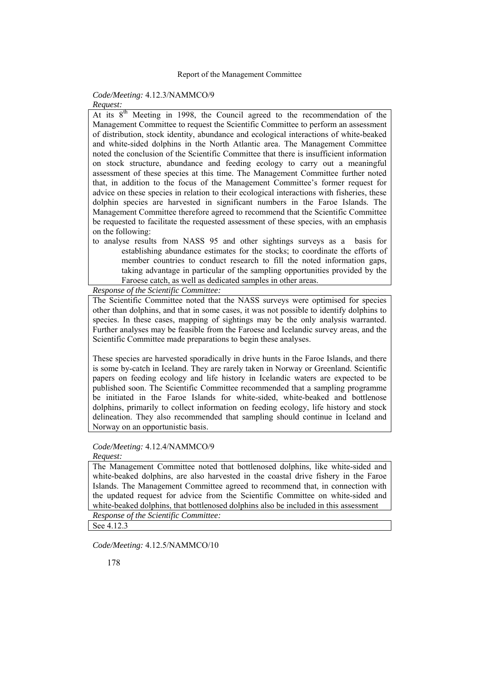## *Code/Meeting:* 4.12.3/NAMMCO/9

# *Request:*

At its  $8<sup>th</sup>$  Meeting in 1998, the Council agreed to the recommendation of the Management Committee to request the Scientific Committee to perform an assessment of distribution, stock identity, abundance and ecological interactions of white-beaked and white-sided dolphins in the North Atlantic area. The Management Committee noted the conclusion of the Scientific Committee that there is insufficient information on stock structure, abundance and feeding ecology to carry out a meaningful assessment of these species at this time. The Management Committee further noted that, in addition to the focus of the Management Committee's former request for advice on these species in relation to their ecological interactions with fisheries, these dolphin species are harvested in significant numbers in the Faroe Islands. The Management Committee therefore agreed to recommend that the Scientific Committee be requested to facilitate the requested assessment of these species, with an emphasis on the following:

to analyse results from NASS 95 and other sightings surveys as a basis for establishing abundance estimates for the stocks; to coordinate the efforts of member countries to conduct research to fill the noted information gaps, taking advantage in particular of the sampling opportunities provided by the Faroese catch, as well as dedicated samples in other areas.

*Response of the Scientific Committee:* 

The Scientific Committee noted that the NASS surveys were optimised for species other than dolphins, and that in some cases, it was not possible to identify dolphins to species. In these cases, mapping of sightings may be the only analysis warranted. Further analyses may be feasible from the Faroese and Icelandic survey areas, and the Scientific Committee made preparations to begin these analyses.

These species are harvested sporadically in drive hunts in the Faroe Islands, and there is some by-catch in Iceland. They are rarely taken in Norway or Greenland. Scientific papers on feeding ecology and life history in Icelandic waters are expected to be published soon. The Scientific Committee recommended that a sampling programme be initiated in the Faroe Islands for white-sided, white-beaked and bottlenose dolphins, primarily to collect information on feeding ecology, life history and stock delineation. They also recommended that sampling should continue in Iceland and Norway on an opportunistic basis.

# *Code/Meeting:* 4.12.4/NAMMCO/9

#### *Request:*

The Management Committee noted that bottlenosed dolphins, like white-sided and white-beaked dolphins, are also harvested in the coastal drive fishery in the Faroe Islands. The Management Committee agreed to recommend that, in connection with the updated request for advice from the Scientific Committee on white-sided and white-beaked dolphins, that bottlenosed dolphins also be included in this assessment

*Response of the Scientific Committee:* 

See 4.12.3

*Code/Meeting:* 4.12.5/NAMMCO/10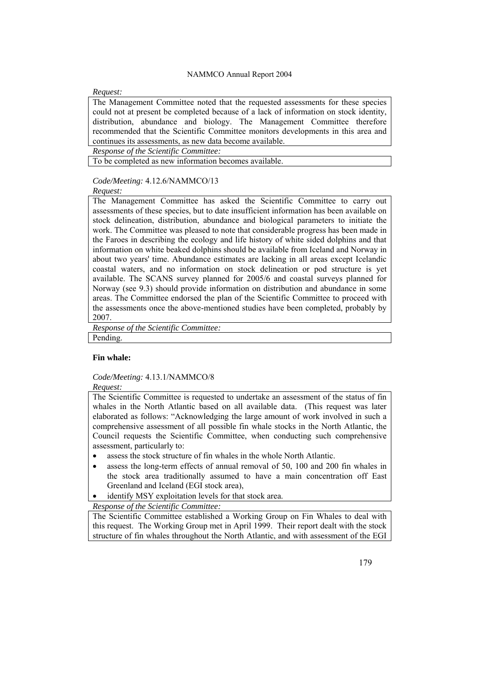#### *Request:*

The Management Committee noted that the requested assessments for these species could not at present be completed because of a lack of information on stock identity, distribution, abundance and biology. The Management Committee therefore recommended that the Scientific Committee monitors developments in this area and continues its assessments, as new data become available.

*Response of the Scientific Committee:* 

To be completed as new information becomes available.

## *Code/Meeting:* 4.12.6/NAMMCO/13

*Request:* 

The Management Committee has asked the Scientific Committee to carry out assessments of these species, but to date insufficient information has been available on stock delineation, distribution, abundance and biological parameters to initiate the work. The Committee was pleased to note that considerable progress has been made in the Faroes in describing the ecology and life history of white sided dolphins and that information on white beaked dolphins should be available from Iceland and Norway in about two years' time. Abundance estimates are lacking in all areas except Icelandic coastal waters, and no information on stock delineation or pod structure is yet available. The SCANS survey planned for 2005/6 and coastal surveys planned for Norway (see 9.3) should provide information on distribution and abundance in some areas. The Committee endorsed the plan of the Scientific Committee to proceed with the assessments once the above-mentioned studies have been completed, probably by 2007.

*Response of the Scientific Committee:*  Pending.

## **Fin whale:**

## *Code/Meeting:* 4.13.1/NAMMCO/8

*Request:* 

The Scientific Committee is requested to undertake an assessment of the status of fin whales in the North Atlantic based on all available data. (This request was later elaborated as follows: "Acknowledging the large amount of work involved in such a comprehensive assessment of all possible fin whale stocks in the North Atlantic, the Council requests the Scientific Committee, when conducting such comprehensive assessment, particularly to:

- assess the stock structure of fin whales in the whole North Atlantic.
- assess the long-term effects of annual removal of 50, 100 and 200 fin whales in the stock area traditionally assumed to have a main concentration off East Greenland and Iceland (EGI stock area),
- identify MSY exploitation levels for that stock area.

*Response of the Scientific Committee:* 

The Scientific Committee established a Working Group on Fin Whales to deal with this request. The Working Group met in April 1999. Their report dealt with the stock structure of fin whales throughout the North Atlantic, and with assessment of the EGI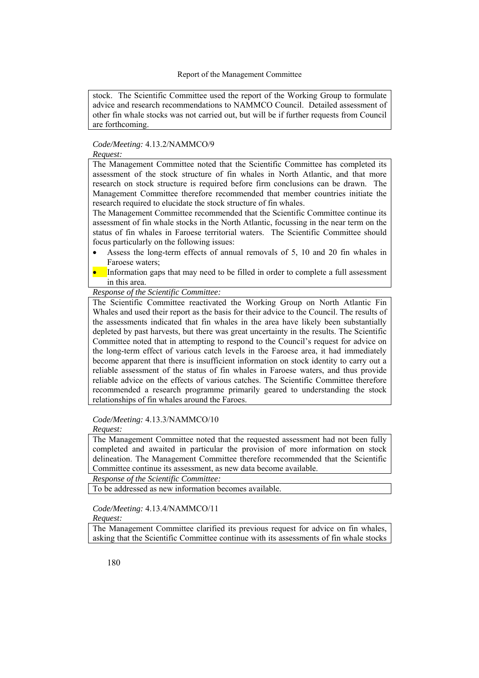stock. The Scientific Committee used the report of the Working Group to formulate advice and research recommendations to NAMMCO Council. Detailed assessment of other fin whale stocks was not carried out, but will be if further requests from Council are forthcoming.

## *Code/Meeting:* 4.13.2/NAMMCO/9

*Request:* 

The Management Committee noted that the Scientific Committee has completed its assessment of the stock structure of fin whales in North Atlantic, and that more research on stock structure is required before firm conclusions can be drawn. The Management Committee therefore recommended that member countries initiate the research required to elucidate the stock structure of fin whales.

The Management Committee recommended that the Scientific Committee continue its assessment of fin whale stocks in the North Atlantic, focussing in the near term on the status of fin whales in Faroese territorial waters. The Scientific Committee should focus particularly on the following issues:

- Assess the long-term effects of annual removals of 5, 10 and 20 fin whales in Faroese waters;
- Information gaps that may need to be filled in order to complete a full assessment in this area.

*Response of the Scientific Committee:* 

The Scientific Committee reactivated the Working Group on North Atlantic Fin Whales and used their report as the basis for their advice to the Council. The results of the assessments indicated that fin whales in the area have likely been substantially depleted by past harvests, but there was great uncertainty in the results. The Scientific Committee noted that in attempting to respond to the Council's request for advice on the long-term effect of various catch levels in the Faroese area, it had immediately become apparent that there is insufficient information on stock identity to carry out a reliable assessment of the status of fin whales in Faroese waters, and thus provide reliable advice on the effects of various catches. The Scientific Committee therefore recommended a research programme primarily geared to understanding the stock relationships of fin whales around the Faroes.

## *Code/Meeting:* 4.13.3/NAMMCO/10

*Request:* 

The Management Committee noted that the requested assessment had not been fully completed and awaited in particular the provision of more information on stock delineation. The Management Committee therefore recommended that the Scientific Committee continue its assessment, as new data become available.

*Response of the Scientific Committee:* 

To be addressed as new information becomes available.

## *Code/Meeting:* 4.13.4/NAMMCO/11

*Request:* 

The Management Committee clarified its previous request for advice on fin whales, asking that the Scientific Committee continue with its assessments of fin whale stocks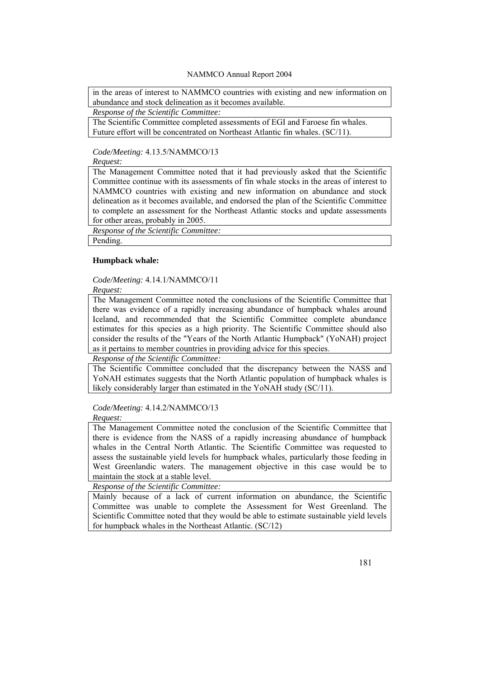in the areas of interest to NAMMCO countries with existing and new information on abundance and stock delineation as it becomes available.

*Response of the Scientific Committee:* 

The Scientific Committee completed assessments of EGI and Faroese fin whales. Future effort will be concentrated on Northeast Atlantic fin whales. (SC/11).

*Code/Meeting:* 4.13.5/NAMMCO/13

*Request:* 

The Management Committee noted that it had previously asked that the Scientific Committee continue with its assessments of fin whale stocks in the areas of interest to NAMMCO countries with existing and new information on abundance and stock delineation as it becomes available, and endorsed the plan of the Scientific Committee to complete an assessment for the Northeast Atlantic stocks and update assessments for other areas, probably in 2005.

*Response of the Scientific Committee:* 

Pending.

## **Humpback whale:**

*Code/Meeting:* 4.14.1/NAMMCO/11

*Request:* 

The Management Committee noted the conclusions of the Scientific Committee that there was evidence of a rapidly increasing abundance of humpback whales around Iceland, and recommended that the Scientific Committee complete abundance estimates for this species as a high priority. The Scientific Committee should also consider the results of the "Years of the North Atlantic Humpback" (YoNAH) project as it pertains to member countries in providing advice for this species.

*Response of the Scientific Committee:* 

The Scientific Committee concluded that the discrepancy between the NASS and YoNAH estimates suggests that the North Atlantic population of humpback whales is likely considerably larger than estimated in the YoNAH study (SC/11).

## *Code/Meeting:* 4.14.2/NAMMCO/13

*Request:* 

The Management Committee noted the conclusion of the Scientific Committee that there is evidence from the NASS of a rapidly increasing abundance of humpback whales in the Central North Atlantic. The Scientific Committee was requested to assess the sustainable yield levels for humpback whales, particularly those feeding in West Greenlandic waters. The management objective in this case would be to maintain the stock at a stable level.

*Response of the Scientific Committee:* 

Mainly because of a lack of current information on abundance, the Scientific Committee was unable to complete the Assessment for West Greenland. The Scientific Committee noted that they would be able to estimate sustainable yield levels for humpback whales in the Northeast Atlantic. (SC/12)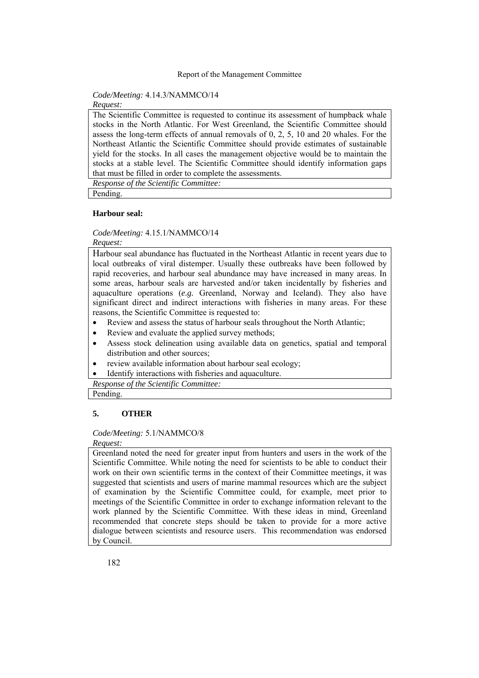## *Code/Meeting:* 4.14.3/NAMMCO/14

*Request:* 

The Scientific Committee is requested to continue its assessment of humpback whale stocks in the North Atlantic. For West Greenland, the Scientific Committee should assess the long-term effects of annual removals of 0, 2, 5, 10 and 20 whales. For the Northeast Atlantic the Scientific Committee should provide estimates of sustainable yield for the stocks. In all cases the management objective would be to maintain the stocks at a stable level. The Scientific Committee should identify information gaps that must be filled in order to complete the assessments.

*Response of the Scientific Committee:* 

Pending.

#### **Harbour seal:**

*Code/Meeting:* 4.15.1/NAMMCO/14

*Request:* 

Harbour seal abundance has fluctuated in the Northeast Atlantic in recent years due to local outbreaks of viral distemper. Usually these outbreaks have been followed by rapid recoveries, and harbour seal abundance may have increased in many areas. In some areas, harbour seals are harvested and/or taken incidentally by fisheries and aquaculture operations (*e.g.* Greenland, Norway and Iceland). They also have significant direct and indirect interactions with fisheries in many areas. For these reasons, the Scientific Committee is requested to:

- Review and assess the status of harbour seals throughout the North Atlantic;
- Review and evaluate the applied survey methods;
- Assess stock delineation using available data on genetics, spatial and temporal distribution and other sources;
- review available information about harbour seal ecology;
- Identify interactions with fisheries and aquaculture.

*Response of the Scientific Committee:* 

# Pending.

## **5. OTHER**

## *Code/Meeting:* 5.1/NAMMCO/8

*Request:* 

Greenland noted the need for greater input from hunters and users in the work of the Scientific Committee. While noting the need for scientists to be able to conduct their work on their own scientific terms in the context of their Committee meetings, it was suggested that scientists and users of marine mammal resources which are the subject of examination by the Scientific Committee could, for example, meet prior to meetings of the Scientific Committee in order to exchange information relevant to the work planned by the Scientific Committee. With these ideas in mind, Greenland recommended that concrete steps should be taken to provide for a more active dialogue between scientists and resource users. This recommendation was endorsed by Council.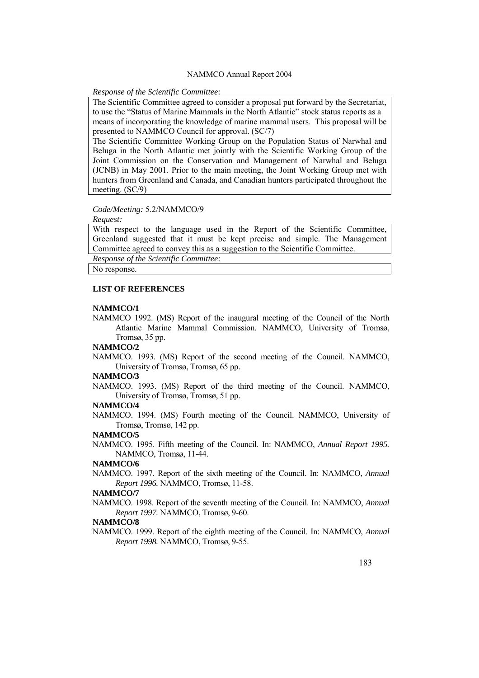## *Response of the Scientific Committee:*

The Scientific Committee agreed to consider a proposal put forward by the Secretariat, to use the "Status of Marine Mammals in the North Atlantic" stock status reports as a means of incorporating the knowledge of marine mammal users. This proposal will be presented to NAMMCO Council for approval. (SC/7)

The Scientific Committee Working Group on the Population Status of Narwhal and Beluga in the North Atlantic met jointly with the Scientific Working Group of the Joint Commission on the Conservation and Management of Narwhal and Beluga (JCNB) in May 2001. Prior to the main meeting, the Joint Working Group met with hunters from Greenland and Canada, and Canadian hunters participated throughout the meeting. (SC/9)

## *Code/Meeting:* 5.2/NAMMCO/9

#### *Request:*

With respect to the language used in the Report of the Scientific Committee, Greenland suggested that it must be kept precise and simple. The Management Committee agreed to convey this as a suggestion to the Scientific Committee.

*Response of the Scientific Committee:* 

No response.

#### **LIST OF REFERENCES**

#### **NAMMCO/1**

NAMMCO 1992. (MS) Report of the inaugural meeting of the Council of the North Atlantic Marine Mammal Commission. NAMMCO, University of Tromsø, Tromsø, 35 pp.

## **NAMMCO/2**

NAMMCO. 1993. (MS) Report of the second meeting of the Council. NAMMCO, University of Tromsø, Tromsø, 65 pp.

## **NAMMCO/3**

NAMMCO. 1993. (MS) Report of the third meeting of the Council. NAMMCO, University of Tromsø, Tromsø, 51 pp.

## **NAMMCO/4**

NAMMCO. 1994. (MS) Fourth meeting of the Council. NAMMCO, University of Tromsø, Tromsø, 142 pp.

#### **NAMMCO/5**

NAMMCO. 1995. Fifth meeting of the Council. In: NAMMCO, *Annual Report 1995.* NAMMCO, Tromsø, 11-44.

## **NAMMCO/6**

NAMMCO. 1997. Report of the sixth meeting of the Council. In: NAMMCO, *Annual Report 1996.* NAMMCO, Tromsø, 11-58.

#### **NAMMCO/7**

NAMMCO. 1998. Report of the seventh meeting of the Council. In: NAMMCO, *Annual Report 1997.* NAMMCO, Tromsø, 9-60.

## **NAMMCO/8**

NAMMCO. 1999. Report of the eighth meeting of the Council. In: NAMMCO, *Annual Report 1998.* NAMMCO, Tromsø, 9-55.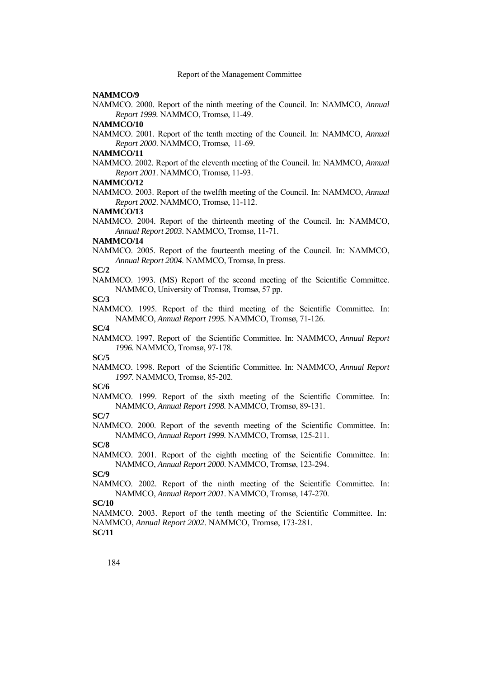#### **NAMMCO/9**

NAMMCO. 2000. Report of the ninth meeting of the Council. In: NAMMCO, *Annual Report 1999.* NAMMCO, Tromsø, 11-49.

#### **NAMMCO/10**

NAMMCO. 2001. Report of the tenth meeting of the Council. In: NAMMCO, *Annual Report 2000*. NAMMCO, Tromsø, 11-69.

#### **NAMMCO/11**

NAMMCO. 2002. Report of the eleventh meeting of the Council. In: NAMMCO, *Annual Report 2001*. NAMMCO, Tromsø, 11-93.

#### **NAMMCO/12**

NAMMCO. 2003. Report of the twelfth meeting of the Council. In: NAMMCO, *Annual Report 2002*. NAMMCO, Tromsø, 11-112.

#### **NAMMCO/13**

NAMMCO. 2004. Report of the thirteenth meeting of the Council. In: NAMMCO, *Annual Report 2003*. NAMMCO, Tromsø, 11-71.

#### **NAMMCO/14**

NAMMCO. 2005. Report of the fourteenth meeting of the Council. In: NAMMCO, *Annual Report 2004*. NAMMCO, Tromsø, In press.

#### **SC/2**

NAMMCO. 1993. (MS) Report of the second meeting of the Scientific Committee. NAMMCO, University of Tromsø, Tromsø, 57 pp.

#### **SC/3**

NAMMCO. 1995. Report of the third meeting of the Scientific Committee. In: NAMMCO, *Annual Report 1995.* NAMMCO, Tromsø, 71-126.

#### **SC/4**

NAMMCO. 1997. Report of the Scientific Committee. In: NAMMCO, *Annual Report 1996.* NAMMCO, Tromsø, 97-178.

**SC/5** 

NAMMCO. 1998. Report of the Scientific Committee. In: NAMMCO, *Annual Report 1997.* NAMMCO, Tromsø, 85-202.

#### **SC/6**

NAMMCO. 1999. Report of the sixth meeting of the Scientific Committee. In: NAMMCO, *Annual Report 1998.* NAMMCO, Tromsø, 89-131.

#### **SC/7**

NAMMCO. 2000. Report of the seventh meeting of the Scientific Committee. In: NAMMCO, *Annual Report 1999.* NAMMCO, Tromsø, 125-211.

**SC/8** 

NAMMCO. 2001. Report of the eighth meeting of the Scientific Committee. In: NAMMCO, *Annual Report 2000*. NAMMCO, Tromsø, 123-294.

**SC/9** 

NAMMCO. 2002. Report of the ninth meeting of the Scientific Committee. In: NAMMCO, *Annual Report 2001*. NAMMCO, Tromsø, 147-270.

## **SC/10**

NAMMCO. 2003. Report of the tenth meeting of the Scientific Committee. In: NAMMCO, *Annual Report 2002*. NAMMCO, Tromsø, 173-281. **SC/11**